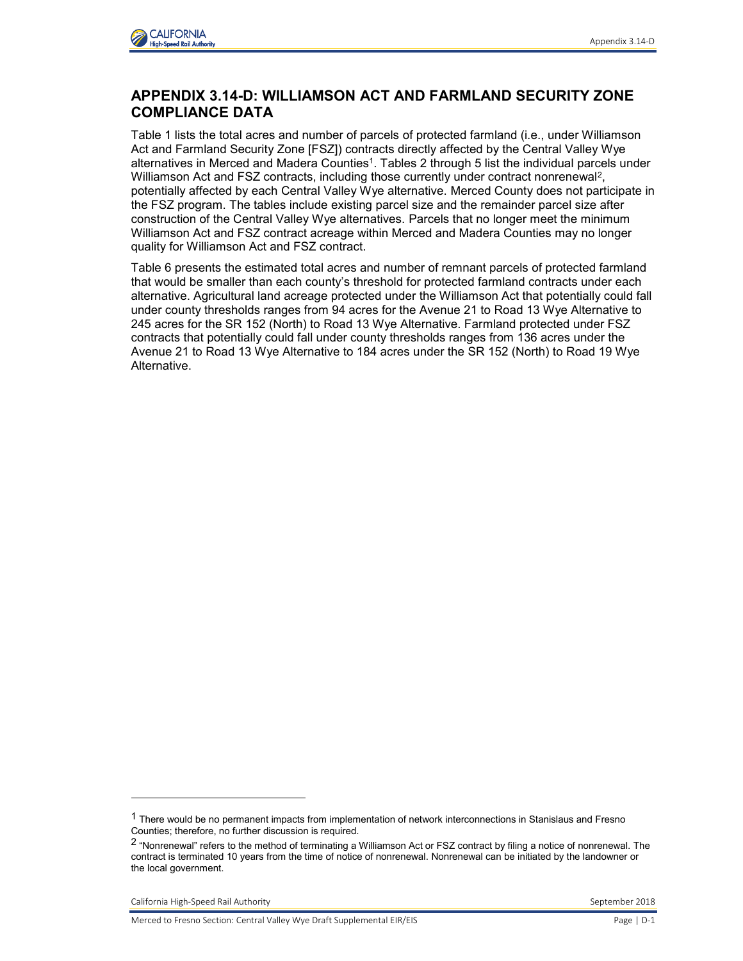

# **APPENDIX 3.14-D: WILLIAMSON ACT AND FARMLAND SECURITY ZONE COMPLIANCE DATA**

Table 1 lists the total acres and number of parcels of protected farmland (i.e., under Williamson Act and Farmland Security Zone [FSZ]) contracts directly affected by the Central Valley Wye alternatives in Merced and Madera Counties<sup>1</sup>. Tables 2 through 5 list the individual parcels under Williamson Act and FSZ contracts, including those currently under contract nonrenewal<sup>2</sup>, potentially affected by each Central Valley Wye alternative. Merced County does not participate in the FSZ program. The tables include existing parcel size and the remainder parcel size after construction of the Central Valley Wye alternatives. Parcels that no longer meet the minimum Williamson Act and FSZ contract acreage within Merced and Madera Counties may no longer quality for Williamson Act and FSZ contract.

Table 6 presents the estimated total acres and number of remnant parcels of protected farmland that would be smaller than each county's threshold for protected farmland contracts under each alternative. Agricultural land acreage protected under the Williamson Act that potentially could fall under county thresholds ranges from 94 acres for the Avenue 21 to Road 13 Wye Alternative to 245 acres for the SR 152 (North) to Road 13 Wye Alternative. Farmland protected under FSZ contracts that potentially could fall under county thresholds ranges from 136 acres under the Avenue 21 to Road 13 Wye Alternative to 184 acres under the SR 152 (North) to Road 19 Wye Alternative.

California High-Speed Rail Authority September 2018

-

<sup>&</sup>lt;sup>1</sup> There would be no permanent impacts from implementation of network interconnections in Stanislaus and Fresno Counties; therefore, no further discussion is required.

<sup>&</sup>lt;sup>2</sup> "Nonrenewal" refers to the method of terminating a Williamson Act or FSZ contract by filing a notice of nonrenewal. The contract is terminated 10 years from the time of notice of nonrenewal. Nonrenewal can be initiated by the landowner or the local government.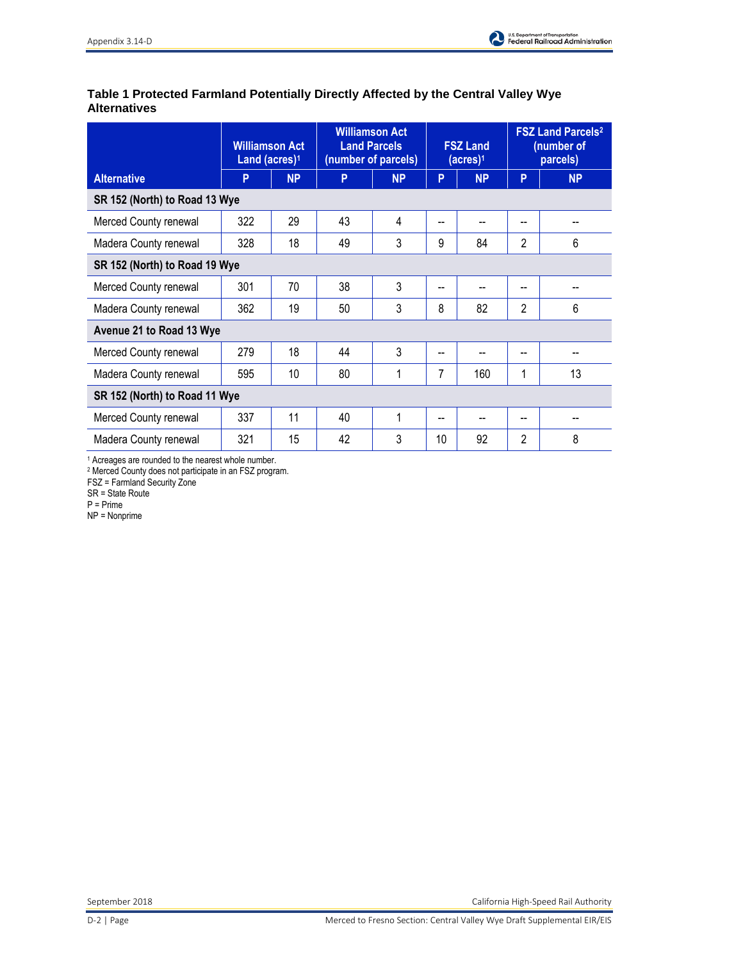

## **Table 1 Protected Farmland Potentially Directly Affected by the Central Valley Wye Alternatives**

|                               | <b>Williamson Act</b><br>Land (acres) <sup>1</sup> |           |    | <b>Williamson Act</b><br><b>Land Parcels</b><br>(number of parcels) |    | <b>FSZ Land</b><br>(acres) <sup>1</sup> |                | <b>FSZ Land Parcels<sup>2</sup></b><br>(number of<br>parcels) |
|-------------------------------|----------------------------------------------------|-----------|----|---------------------------------------------------------------------|----|-----------------------------------------|----------------|---------------------------------------------------------------|
| <b>Alternative</b>            | P                                                  | <b>NP</b> | P  | <b>NP</b>                                                           | P  | <b>NP</b>                               | P              | <b>NP</b>                                                     |
| SR 152 (North) to Road 13 Wye |                                                    |           |    |                                                                     |    |                                         |                |                                                               |
| Merced County renewal         | 322                                                | 29        | 43 | 4                                                                   | -- |                                         | --             |                                                               |
| Madera County renewal         | 328                                                | 18        | 49 | 3                                                                   | 9  | 84                                      | 2              | 6                                                             |
| SR 152 (North) to Road 19 Wye |                                                    |           |    |                                                                     |    |                                         |                |                                                               |
| Merced County renewal         | 301                                                | 70        | 38 | 3                                                                   | -- |                                         | --             |                                                               |
| Madera County renewal         | 362                                                | 19        | 50 | 3                                                                   | 8  | 82                                      | $\overline{2}$ | 6                                                             |
| Avenue 21 to Road 13 Wye      |                                                    |           |    |                                                                     |    |                                         |                |                                                               |
| Merced County renewal         | 279                                                | 18        | 44 | 3                                                                   | -- |                                         |                |                                                               |
| Madera County renewal         | 595                                                | 10        | 80 | 1                                                                   | 7  | 160                                     | 1              | 13                                                            |
| SR 152 (North) to Road 11 Wye |                                                    |           |    |                                                                     |    |                                         |                |                                                               |
| Merced County renewal         | 337                                                | 11        | 40 | 1                                                                   | -- |                                         | --             |                                                               |
| Madera County renewal         | 321                                                | 15        | 42 | 3                                                                   | 10 | 92                                      | $\overline{c}$ | 8                                                             |

<sup>1</sup> Acreages are rounded to the nearest whole number.

2 Merced County does not participate in an FSZ program.

FSZ = Farmland Security Zone

SR = State Route

P = Prime

NP = Nonprime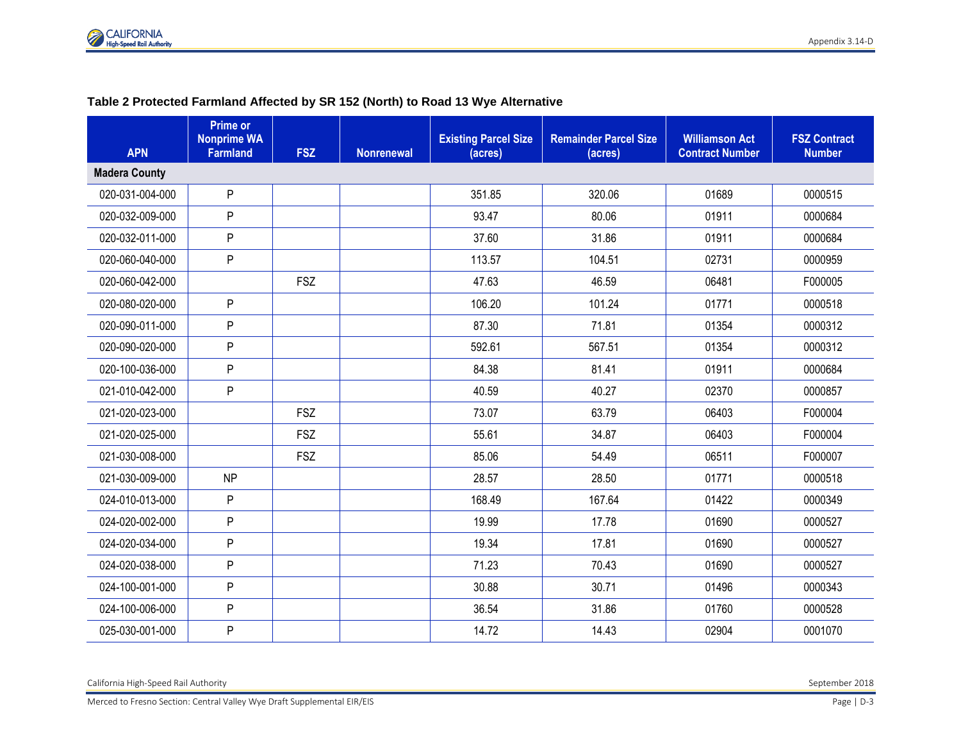

| <b>APN</b>           | <b>Prime or</b><br><b>Nonprime WA</b><br><b>Farmland</b> | <b>FSZ</b> | <b>Nonrenewal</b> | <b>Existing Parcel Size</b><br>(acres) | <b>Remainder Parcel Size</b><br>(acres) | <b>Williamson Act</b><br><b>Contract Number</b> | <b>FSZ Contract</b><br><b>Number</b> |
|----------------------|----------------------------------------------------------|------------|-------------------|----------------------------------------|-----------------------------------------|-------------------------------------------------|--------------------------------------|
| <b>Madera County</b> |                                                          |            |                   |                                        |                                         |                                                 |                                      |
| 020-031-004-000      | P                                                        |            |                   | 351.85                                 | 320.06                                  | 01689                                           | 0000515                              |
| 020-032-009-000      | P                                                        |            |                   | 93.47                                  | 80.06                                   | 01911                                           | 0000684                              |
| 020-032-011-000      | P                                                        |            |                   | 37.60                                  | 31.86                                   | 01911                                           | 0000684                              |
| 020-060-040-000      | P                                                        |            |                   | 113.57                                 | 104.51                                  | 02731                                           | 0000959                              |
| 020-060-042-000      |                                                          | <b>FSZ</b> |                   | 47.63                                  | 46.59                                   | 06481                                           | F000005                              |
| 020-080-020-000      | P                                                        |            |                   | 106.20                                 | 101.24                                  | 01771                                           | 0000518                              |
| 020-090-011-000      | P                                                        |            |                   | 87.30                                  | 71.81                                   | 01354                                           | 0000312                              |
| 020-090-020-000      | P                                                        |            |                   | 592.61                                 | 567.51                                  | 01354                                           | 0000312                              |
| 020-100-036-000      | P                                                        |            |                   | 84.38                                  | 81.41                                   | 01911                                           | 0000684                              |
| 021-010-042-000      | P                                                        |            |                   | 40.59                                  | 40.27                                   | 02370                                           | 0000857                              |
| 021-020-023-000      |                                                          | <b>FSZ</b> |                   | 73.07                                  | 63.79                                   | 06403                                           | F000004                              |
| 021-020-025-000      |                                                          | <b>FSZ</b> |                   | 55.61                                  | 34.87                                   | 06403                                           | F000004                              |
| 021-030-008-000      |                                                          | FSZ        |                   | 85.06                                  | 54.49                                   | 06511                                           | F000007                              |
| 021-030-009-000      | <b>NP</b>                                                |            |                   | 28.57                                  | 28.50                                   | 01771                                           | 0000518                              |
| 024-010-013-000      | P                                                        |            |                   | 168.49                                 | 167.64                                  | 01422                                           | 0000349                              |
| 024-020-002-000      | P                                                        |            |                   | 19.99                                  | 17.78                                   | 01690                                           | 0000527                              |
| 024-020-034-000      | P                                                        |            |                   | 19.34                                  | 17.81                                   | 01690                                           | 0000527                              |
| 024-020-038-000      | P                                                        |            |                   | 71.23                                  | 70.43                                   | 01690                                           | 0000527                              |
| 024-100-001-000      | P                                                        |            |                   | 30.88                                  | 30.71                                   | 01496                                           | 0000343                              |
| 024-100-006-000      | P                                                        |            |                   | 36.54                                  | 31.86                                   | 01760                                           | 0000528                              |
| 025-030-001-000      | P                                                        |            |                   | 14.72                                  | 14.43                                   | 02904                                           | 0001070                              |

#### **Table 2 Protected Farmland Affected by SR 152 (North) to Road 13 Wye Alternative**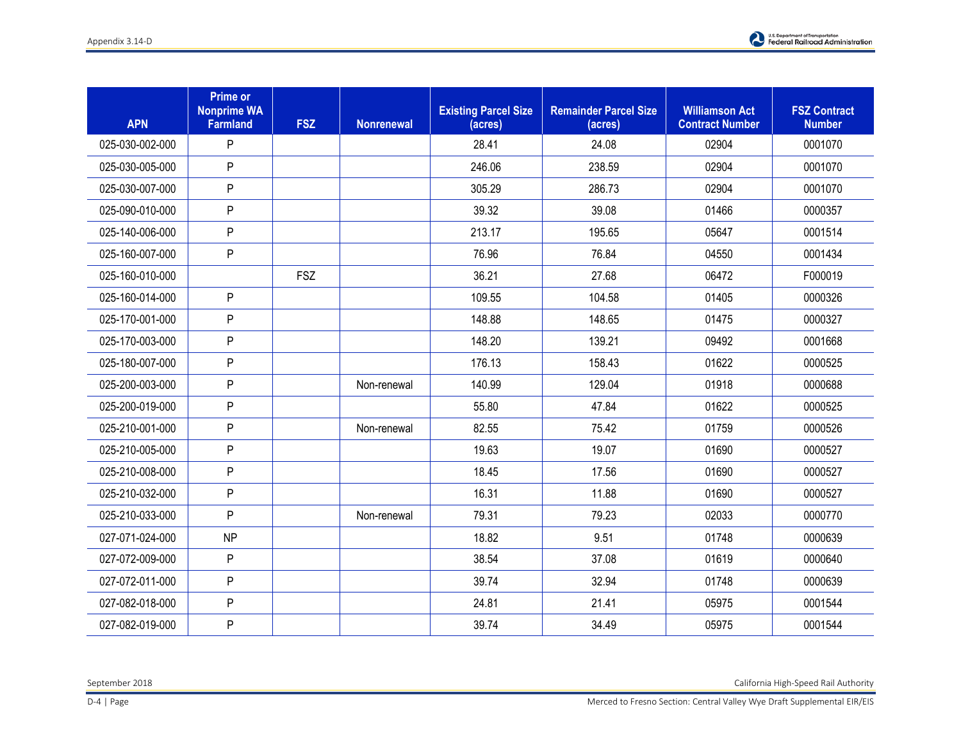| <b>APN</b>      | Prime or<br><b>Nonprime WA</b><br><b>Farmland</b> | <b>FSZ</b> | <b>Nonrenewal</b> | <b>Existing Parcel Size</b><br>(acres) | <b>Remainder Parcel Size</b><br>(acres) | <b>Williamson Act</b><br><b>Contract Number</b> | <b>FSZ Contract</b><br><b>Number</b> |
|-----------------|---------------------------------------------------|------------|-------------------|----------------------------------------|-----------------------------------------|-------------------------------------------------|--------------------------------------|
| 025-030-002-000 | P                                                 |            |                   | 28.41                                  | 24.08                                   | 02904                                           | 0001070                              |
| 025-030-005-000 | P                                                 |            |                   | 246.06                                 | 238.59                                  | 02904                                           | 0001070                              |
| 025-030-007-000 | P                                                 |            |                   | 305.29                                 | 286.73                                  | 02904                                           | 0001070                              |
| 025-090-010-000 | P                                                 |            |                   | 39.32                                  | 39.08                                   | 01466                                           | 0000357                              |
| 025-140-006-000 | P                                                 |            |                   | 213.17                                 | 195.65                                  | 05647                                           | 0001514                              |
| 025-160-007-000 | P                                                 |            |                   | 76.96                                  | 76.84                                   | 04550                                           | 0001434                              |
| 025-160-010-000 |                                                   | <b>FSZ</b> |                   | 36.21                                  | 27.68                                   | 06472                                           | F000019                              |
| 025-160-014-000 | P                                                 |            |                   | 109.55                                 | 104.58                                  | 01405                                           | 0000326                              |
| 025-170-001-000 | P                                                 |            |                   | 148.88                                 | 148.65                                  | 01475                                           | 0000327                              |
| 025-170-003-000 | P                                                 |            |                   | 148.20                                 | 139.21                                  | 09492                                           | 0001668                              |
| 025-180-007-000 | P                                                 |            |                   | 176.13                                 | 158.43                                  | 01622                                           | 0000525                              |
| 025-200-003-000 | P                                                 |            | Non-renewal       | 140.99                                 | 129.04                                  | 01918                                           | 0000688                              |
| 025-200-019-000 | P                                                 |            |                   | 55.80                                  | 47.84                                   | 01622                                           | 0000525                              |
| 025-210-001-000 | P                                                 |            | Non-renewal       | 82.55                                  | 75.42                                   | 01759                                           | 0000526                              |
| 025-210-005-000 | P                                                 |            |                   | 19.63                                  | 19.07                                   | 01690                                           | 0000527                              |
| 025-210-008-000 | P                                                 |            |                   | 18.45                                  | 17.56                                   | 01690                                           | 0000527                              |
| 025-210-032-000 | P                                                 |            |                   | 16.31                                  | 11.88                                   | 01690                                           | 0000527                              |
| 025-210-033-000 | P                                                 |            | Non-renewal       | 79.31                                  | 79.23                                   | 02033                                           | 0000770                              |
| 027-071-024-000 | <b>NP</b>                                         |            |                   | 18.82                                  | 9.51                                    | 01748                                           | 0000639                              |
| 027-072-009-000 | P                                                 |            |                   | 38.54                                  | 37.08                                   | 01619                                           | 0000640                              |
| 027-072-011-000 | P                                                 |            |                   | 39.74                                  | 32.94                                   | 01748                                           | 0000639                              |
| 027-082-018-000 | P                                                 |            |                   | 24.81                                  | 21.41                                   | 05975                                           | 0001544                              |
| 027-082-019-000 | P                                                 |            |                   | 39.74                                  | 34.49                                   | 05975                                           | 0001544                              |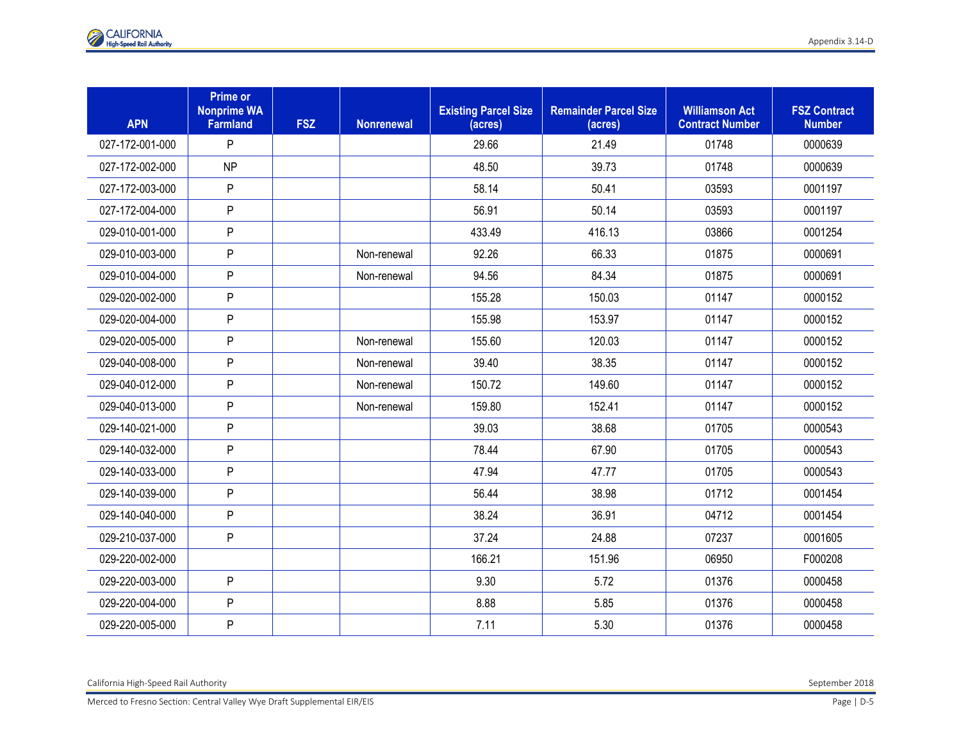| <b>APN</b>      | <b>Prime or</b><br><b>Nonprime WA</b><br><b>Farmland</b> | <b>FSZ</b> | <b>Nonrenewal</b> | <b>Existing Parcel Size</b><br>(acres) | <b>Remainder Parcel Size</b><br>(acres) | <b>Williamson Act</b><br><b>Contract Number</b> | <b>FSZ Contract</b><br><b>Number</b> |
|-----------------|----------------------------------------------------------|------------|-------------------|----------------------------------------|-----------------------------------------|-------------------------------------------------|--------------------------------------|
| 027-172-001-000 | P                                                        |            |                   | 29.66                                  | 21.49                                   | 01748                                           | 0000639                              |
| 027-172-002-000 | <b>NP</b>                                                |            |                   | 48.50                                  | 39.73                                   | 01748                                           | 0000639                              |
| 027-172-003-000 | P                                                        |            |                   | 58.14                                  | 50.41                                   | 03593                                           | 0001197                              |
| 027-172-004-000 | P                                                        |            |                   | 56.91                                  | 50.14                                   | 03593                                           | 0001197                              |
| 029-010-001-000 | P                                                        |            |                   | 433.49                                 | 416.13                                  | 03866                                           | 0001254                              |
| 029-010-003-000 | P                                                        |            | Non-renewal       | 92.26                                  | 66.33                                   | 01875                                           | 0000691                              |
| 029-010-004-000 | P                                                        |            | Non-renewal       | 94.56                                  | 84.34                                   | 01875                                           | 0000691                              |
| 029-020-002-000 | P                                                        |            |                   | 155.28                                 | 150.03                                  | 01147                                           | 0000152                              |
| 029-020-004-000 | P                                                        |            |                   | 155.98                                 | 153.97                                  | 01147                                           | 0000152                              |
| 029-020-005-000 | P                                                        |            | Non-renewal       | 155.60                                 | 120.03                                  | 01147                                           | 0000152                              |
| 029-040-008-000 | P                                                        |            | Non-renewal       | 39.40                                  | 38.35                                   | 01147                                           | 0000152                              |
| 029-040-012-000 | P                                                        |            | Non-renewal       | 150.72                                 | 149.60                                  | 01147                                           | 0000152                              |
| 029-040-013-000 | $\overline{P}$                                           |            | Non-renewal       | 159.80                                 | 152.41                                  | 01147                                           | 0000152                              |
| 029-140-021-000 | P                                                        |            |                   | 39.03                                  | 38.68                                   | 01705                                           | 0000543                              |
| 029-140-032-000 | P                                                        |            |                   | 78.44                                  | 67.90                                   | 01705                                           | 0000543                              |
| 029-140-033-000 | P                                                        |            |                   | 47.94                                  | 47.77                                   | 01705                                           | 0000543                              |
| 029-140-039-000 | P                                                        |            |                   | 56.44                                  | 38.98                                   | 01712                                           | 0001454                              |
| 029-140-040-000 | P                                                        |            |                   | 38.24                                  | 36.91                                   | 04712                                           | 0001454                              |
| 029-210-037-000 | P                                                        |            |                   | 37.24                                  | 24.88                                   | 07237                                           | 0001605                              |
| 029-220-002-000 |                                                          |            |                   | 166.21                                 | 151.96                                  | 06950                                           | F000208                              |
| 029-220-003-000 | P                                                        |            |                   | 9.30                                   | 5.72                                    | 01376                                           | 0000458                              |
| 029-220-004-000 | P                                                        |            |                   | 8.88                                   | 5.85                                    | 01376                                           | 0000458                              |
| 029-220-005-000 | P                                                        |            |                   | 7.11                                   | 5.30                                    | 01376                                           | 0000458                              |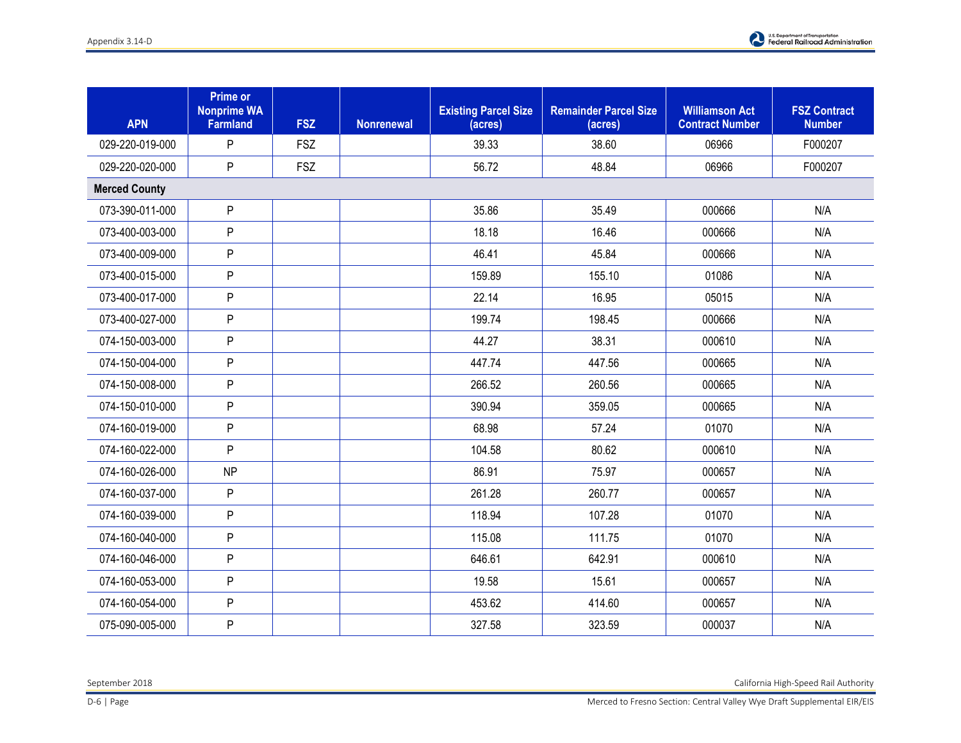| <b>APN</b>           | Prime or<br><b>Nonprime WA</b><br><b>Farmland</b> | <b>FSZ</b> | <b>Nonrenewal</b> | <b>Existing Parcel Size</b><br>(acres) | <b>Remainder Parcel Size</b><br>(acres) | <b>Williamson Act</b><br><b>Contract Number</b> | <b>FSZ Contract</b><br><b>Number</b> |
|----------------------|---------------------------------------------------|------------|-------------------|----------------------------------------|-----------------------------------------|-------------------------------------------------|--------------------------------------|
| 029-220-019-000      | P                                                 | <b>FSZ</b> |                   | 39.33                                  | 38.60                                   | 06966                                           | F000207                              |
| 029-220-020-000      | P                                                 | <b>FSZ</b> |                   | 56.72                                  | 48.84                                   | 06966                                           | F000207                              |
| <b>Merced County</b> |                                                   |            |                   |                                        |                                         |                                                 |                                      |
| 073-390-011-000      | P                                                 |            |                   | 35.86                                  | 35.49                                   | 000666                                          | N/A                                  |
| 073-400-003-000      | P                                                 |            |                   | 18.18                                  | 16.46                                   | 000666                                          | N/A                                  |
| 073-400-009-000      | P                                                 |            |                   | 46.41                                  | 45.84                                   | 000666                                          | N/A                                  |
| 073-400-015-000      | P                                                 |            |                   | 159.89                                 | 155.10                                  | 01086                                           | N/A                                  |
| 073-400-017-000      | P                                                 |            |                   | 22.14                                  | 16.95                                   | 05015                                           | N/A                                  |
| 073-400-027-000      | P                                                 |            |                   | 199.74                                 | 198.45                                  | 000666                                          | N/A                                  |
| 074-150-003-000      | P                                                 |            |                   | 44.27                                  | 38.31                                   | 000610                                          | N/A                                  |
| 074-150-004-000      | P                                                 |            |                   | 447.74                                 | 447.56                                  | 000665                                          | N/A                                  |
| 074-150-008-000      | P                                                 |            |                   | 266.52                                 | 260.56                                  | 000665                                          | N/A                                  |
| 074-150-010-000      | P                                                 |            |                   | 390.94                                 | 359.05                                  | 000665                                          | N/A                                  |
| 074-160-019-000      | P                                                 |            |                   | 68.98                                  | 57.24                                   | 01070                                           | N/A                                  |
| 074-160-022-000      | P                                                 |            |                   | 104.58                                 | 80.62                                   | 000610                                          | N/A                                  |
| 074-160-026-000      | <b>NP</b>                                         |            |                   | 86.91                                  | 75.97                                   | 000657                                          | N/A                                  |
| 074-160-037-000      | P                                                 |            |                   | 261.28                                 | 260.77                                  | 000657                                          | N/A                                  |
| 074-160-039-000      | P                                                 |            |                   | 118.94                                 | 107.28                                  | 01070                                           | N/A                                  |
| 074-160-040-000      | P                                                 |            |                   | 115.08                                 | 111.75                                  | 01070                                           | N/A                                  |
| 074-160-046-000      | P                                                 |            |                   | 646.61                                 | 642.91                                  | 000610                                          | N/A                                  |
| 074-160-053-000      | P                                                 |            |                   | 19.58                                  | 15.61                                   | 000657                                          | N/A                                  |
| 074-160-054-000      | P                                                 |            |                   | 453.62                                 | 414.60                                  | 000657                                          | N/A                                  |
| 075-090-005-000      | P                                                 |            |                   | 327.58                                 | 323.59                                  | 000037                                          | N/A                                  |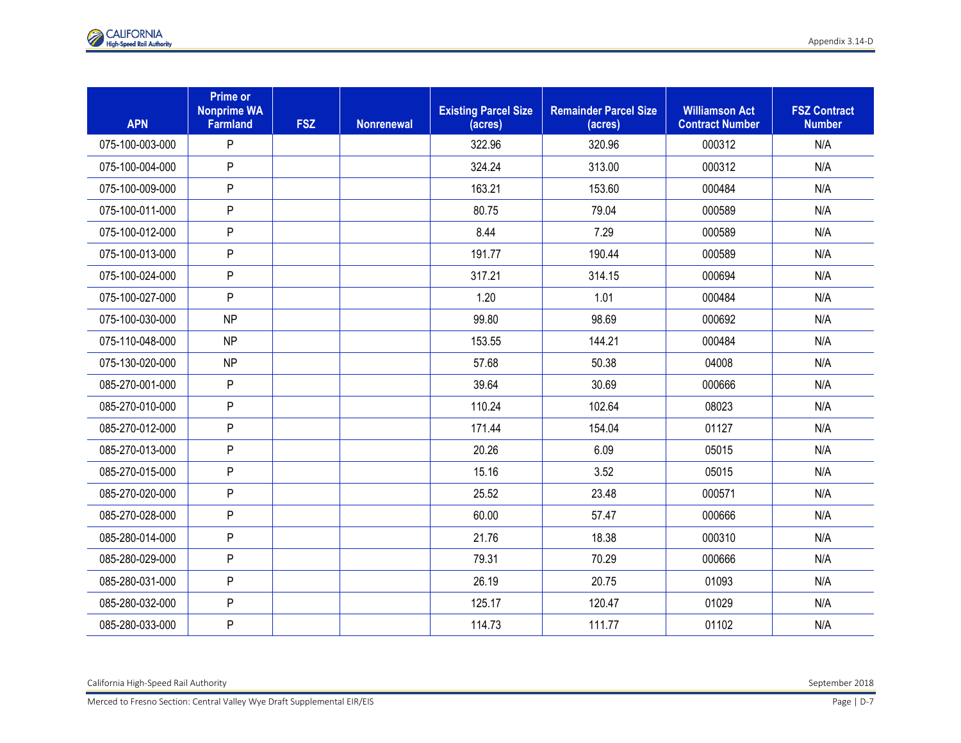| <b>APN</b>      | <b>Prime or</b><br><b>Nonprime WA</b><br><b>Farmland</b> | <b>FSZ</b> | <b>Nonrenewal</b> | <b>Existing Parcel Size</b><br>(acres) | <b>Remainder Parcel Size</b><br>(acres) | <b>Williamson Act</b><br><b>Contract Number</b> | <b>FSZ Contract</b><br><b>Number</b> |
|-----------------|----------------------------------------------------------|------------|-------------------|----------------------------------------|-----------------------------------------|-------------------------------------------------|--------------------------------------|
| 075-100-003-000 | P                                                        |            |                   | 322.96                                 | 320.96                                  | 000312                                          | N/A                                  |
| 075-100-004-000 | P                                                        |            |                   | 324.24                                 | 313.00                                  | 000312                                          | N/A                                  |
| 075-100-009-000 | P                                                        |            |                   | 163.21                                 | 153.60                                  | 000484                                          | N/A                                  |
| 075-100-011-000 | P                                                        |            |                   | 80.75                                  | 79.04                                   | 000589                                          | N/A                                  |
| 075-100-012-000 | P                                                        |            |                   | 8.44                                   | 7.29                                    | 000589                                          | N/A                                  |
| 075-100-013-000 | P                                                        |            |                   | 191.77                                 | 190.44                                  | 000589                                          | N/A                                  |
| 075-100-024-000 | P                                                        |            |                   | 317.21                                 | 314.15                                  | 000694                                          | N/A                                  |
| 075-100-027-000 | P                                                        |            |                   | 1.20                                   | 1.01                                    | 000484                                          | N/A                                  |
| 075-100-030-000 | <b>NP</b>                                                |            |                   | 99.80                                  | 98.69                                   | 000692                                          | N/A                                  |
| 075-110-048-000 | <b>NP</b>                                                |            |                   | 153.55                                 | 144.21                                  | 000484                                          | N/A                                  |
| 075-130-020-000 | <b>NP</b>                                                |            |                   | 57.68                                  | 50.38                                   | 04008                                           | N/A                                  |
| 085-270-001-000 | P                                                        |            |                   | 39.64                                  | 30.69                                   | 000666                                          | N/A                                  |
| 085-270-010-000 | P                                                        |            |                   | 110.24                                 | 102.64                                  | 08023                                           | N/A                                  |
| 085-270-012-000 | P                                                        |            |                   | 171.44                                 | 154.04                                  | 01127                                           | N/A                                  |
| 085-270-013-000 | P                                                        |            |                   | 20.26                                  | 6.09                                    | 05015                                           | N/A                                  |
| 085-270-015-000 | P                                                        |            |                   | 15.16                                  | 3.52                                    | 05015                                           | N/A                                  |
| 085-270-020-000 | P                                                        |            |                   | 25.52                                  | 23.48                                   | 000571                                          | N/A                                  |
| 085-270-028-000 | P                                                        |            |                   | 60.00                                  | 57.47                                   | 000666                                          | N/A                                  |
| 085-280-014-000 | P                                                        |            |                   | 21.76                                  | 18.38                                   | 000310                                          | N/A                                  |
| 085-280-029-000 | P                                                        |            |                   | 79.31                                  | 70.29                                   | 000666                                          | N/A                                  |
| 085-280-031-000 | P                                                        |            |                   | 26.19                                  | 20.75                                   | 01093                                           | N/A                                  |
| 085-280-032-000 | P                                                        |            |                   | 125.17                                 | 120.47                                  | 01029                                           | N/A                                  |
| 085-280-033-000 | P                                                        |            |                   | 114.73                                 | 111.77                                  | 01102                                           | N/A                                  |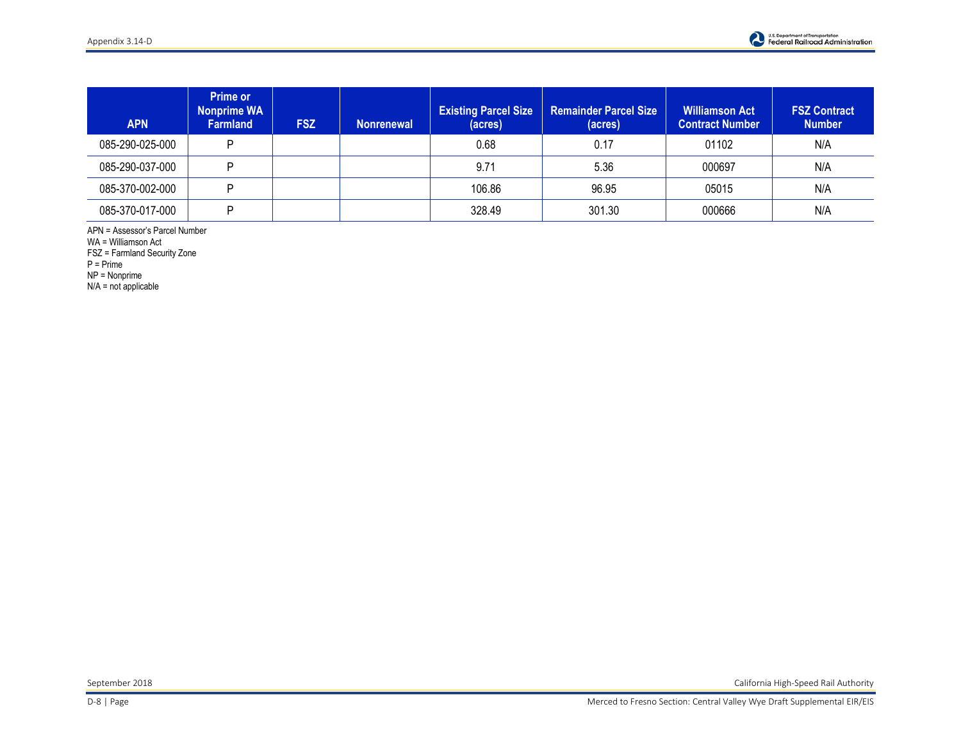| <b>APN</b>      | Prime or<br><b>Nonprime WA</b><br><b>Farmland</b> | <b>FSZ</b> | Nonrenewal | <b>Existing Parcel Size</b><br>(acres) | <b>Remainder Parcel Size</b><br>(acres) | <b>Williamson Act</b><br><b>Contract Number</b> | <b>FSZ Contract</b><br><b>Number</b> |
|-----------------|---------------------------------------------------|------------|------------|----------------------------------------|-----------------------------------------|-------------------------------------------------|--------------------------------------|
| 085-290-025-000 | D                                                 |            |            | 0.68                                   | 0.17                                    | 01102                                           | N/A                                  |
| 085-290-037-000 | D                                                 |            |            | 9.71                                   | 5.36                                    | 000697                                          | N/A                                  |
| 085-370-002-000 | D                                                 |            |            | 106.86                                 | 96.95                                   | 05015                                           | N/A                                  |
| 085-370-017-000 | D                                                 |            |            | 328.49                                 | 301.30                                  | 000666                                          | N/A                                  |

APN = Assessor's Parcel Number WA = Williamson Act FSZ = Farmland Security Zone  $P = Prime$ NP = Nonprime

N/A = not applicable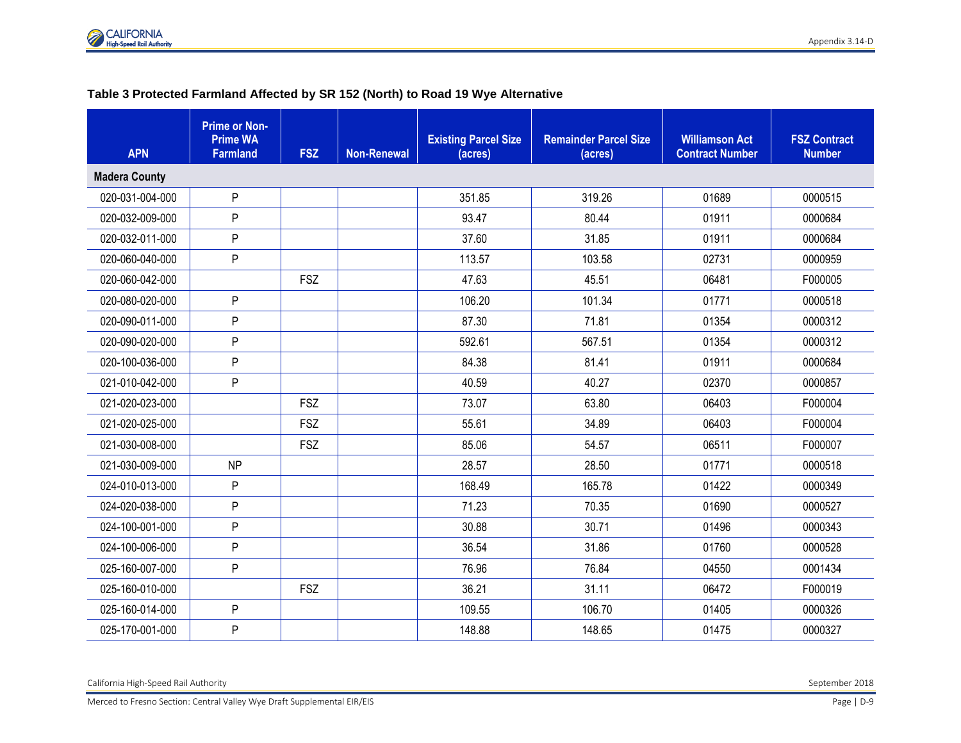### **Table 3 Protected Farmland Affected by SR 152 (North) to Road 19 Wye Alternative**

| <b>APN</b>           | <b>Prime or Non-</b><br><b>Prime WA</b><br><b>Farmland</b> | <b>FSZ</b> | <b>Non-Renewal</b> | <b>Existing Parcel Size</b><br>(acres) | <b>Remainder Parcel Size</b><br>(acres) | <b>Williamson Act</b><br><b>Contract Number</b> | <b>FSZ Contract</b><br><b>Number</b> |
|----------------------|------------------------------------------------------------|------------|--------------------|----------------------------------------|-----------------------------------------|-------------------------------------------------|--------------------------------------|
| <b>Madera County</b> |                                                            |            |                    |                                        |                                         |                                                 |                                      |
| 020-031-004-000      | ${\sf P}$                                                  |            |                    | 351.85                                 | 319.26                                  | 01689                                           | 0000515                              |
| 020-032-009-000      | P                                                          |            |                    | 93.47                                  | 80.44                                   | 01911                                           | 0000684                              |
| 020-032-011-000      | P                                                          |            |                    | 37.60                                  | 31.85                                   | 01911                                           | 0000684                              |
| 020-060-040-000      | P                                                          |            |                    | 113.57                                 | 103.58                                  | 02731                                           | 0000959                              |
| 020-060-042-000      |                                                            | <b>FSZ</b> |                    | 47.63                                  | 45.51                                   | 06481                                           | F000005                              |
| 020-080-020-000      | P                                                          |            |                    | 106.20                                 | 101.34                                  | 01771                                           | 0000518                              |
| 020-090-011-000      | ${\sf P}$                                                  |            |                    | 87.30                                  | 71.81                                   | 01354                                           | 0000312                              |
| 020-090-020-000      | P                                                          |            |                    | 592.61                                 | 567.51                                  | 01354                                           | 0000312                              |
| 020-100-036-000      | P                                                          |            |                    | 84.38                                  | 81.41                                   | 01911                                           | 0000684                              |
| 021-010-042-000      | P                                                          |            |                    | 40.59                                  | 40.27                                   | 02370                                           | 0000857                              |
| 021-020-023-000      |                                                            | <b>FSZ</b> |                    | 73.07                                  | 63.80                                   | 06403                                           | F000004                              |
| 021-020-025-000      |                                                            | <b>FSZ</b> |                    | 55.61                                  | 34.89                                   | 06403                                           | F000004                              |
| 021-030-008-000      |                                                            | <b>FSZ</b> |                    | 85.06                                  | 54.57                                   | 06511                                           | F000007                              |
| 021-030-009-000      | <b>NP</b>                                                  |            |                    | 28.57                                  | 28.50                                   | 01771                                           | 0000518                              |
| 024-010-013-000      | P                                                          |            |                    | 168.49                                 | 165.78                                  | 01422                                           | 0000349                              |
| 024-020-038-000      | ${\sf P}$                                                  |            |                    | 71.23                                  | 70.35                                   | 01690                                           | 0000527                              |
| 024-100-001-000      | ${\sf P}$                                                  |            |                    | 30.88                                  | 30.71                                   | 01496                                           | 0000343                              |
| 024-100-006-000      | P                                                          |            |                    | 36.54                                  | 31.86                                   | 01760                                           | 0000528                              |
| 025-160-007-000      | P                                                          |            |                    | 76.96                                  | 76.84                                   | 04550                                           | 0001434                              |
| 025-160-010-000      |                                                            | <b>FSZ</b> |                    | 36.21                                  | 31.11                                   | 06472                                           | F000019                              |
| 025-160-014-000      | P                                                          |            |                    | 109.55                                 | 106.70                                  | 01405                                           | 0000326                              |
| 025-170-001-000      | ${\sf P}$                                                  |            |                    | 148.88                                 | 148.65                                  | 01475                                           | 0000327                              |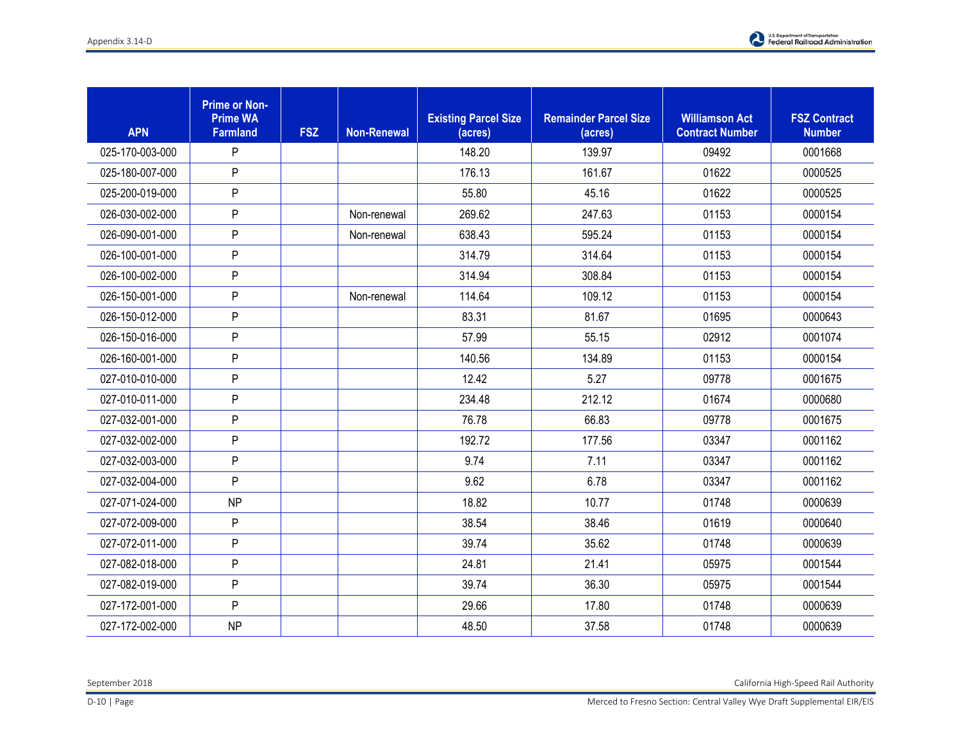| <b>APN</b>      | <b>Prime or Non-</b><br><b>Prime WA</b><br><b>Farmland</b> | <b>FSZ</b> | <b>Non-Renewal</b> | <b>Existing Parcel Size</b><br>(acres) | <b>Remainder Parcel Size</b><br>(acres) | <b>Williamson Act</b><br><b>Contract Number</b> | <b>FSZ Contract</b><br><b>Number</b> |
|-----------------|------------------------------------------------------------|------------|--------------------|----------------------------------------|-----------------------------------------|-------------------------------------------------|--------------------------------------|
| 025-170-003-000 | P                                                          |            |                    | 148.20                                 | 139.97                                  | 09492                                           | 0001668                              |
| 025-180-007-000 | P                                                          |            |                    | 176.13                                 | 161.67                                  | 01622                                           | 0000525                              |
| 025-200-019-000 | P                                                          |            |                    | 55.80                                  | 45.16                                   | 01622                                           | 0000525                              |
| 026-030-002-000 | $\sf P$                                                    |            | Non-renewal        | 269.62                                 | 247.63                                  | 01153                                           | 0000154                              |
| 026-090-001-000 | P                                                          |            | Non-renewal        | 638.43                                 | 595.24                                  | 01153                                           | 0000154                              |
| 026-100-001-000 | P                                                          |            |                    | 314.79                                 | 314.64                                  | 01153                                           | 0000154                              |
| 026-100-002-000 | ${\sf P}$                                                  |            |                    | 314.94                                 | 308.84                                  | 01153                                           | 0000154                              |
| 026-150-001-000 | P                                                          |            | Non-renewal        | 114.64                                 | 109.12                                  | 01153                                           | 0000154                              |
| 026-150-012-000 | P                                                          |            |                    | 83.31                                  | 81.67                                   | 01695                                           | 0000643                              |
| 026-150-016-000 | P                                                          |            |                    | 57.99                                  | 55.15                                   | 02912                                           | 0001074                              |
| 026-160-001-000 | P                                                          |            |                    | 140.56                                 | 134.89                                  | 01153                                           | 0000154                              |
| 027-010-010-000 | P                                                          |            |                    | 12.42                                  | 5.27                                    | 09778                                           | 0001675                              |
| 027-010-011-000 | P                                                          |            |                    | 234.48                                 | 212.12                                  | 01674                                           | 0000680                              |
| 027-032-001-000 | P                                                          |            |                    | 76.78                                  | 66.83                                   | 09778                                           | 0001675                              |
| 027-032-002-000 | P                                                          |            |                    | 192.72                                 | 177.56                                  | 03347                                           | 0001162                              |
| 027-032-003-000 | P                                                          |            |                    | 9.74                                   | 7.11                                    | 03347                                           | 0001162                              |
| 027-032-004-000 | ${\sf P}$                                                  |            |                    | 9.62                                   | 6.78                                    | 03347                                           | 0001162                              |
| 027-071-024-000 | <b>NP</b>                                                  |            |                    | 18.82                                  | 10.77                                   | 01748                                           | 0000639                              |
| 027-072-009-000 | P                                                          |            |                    | 38.54                                  | 38.46                                   | 01619                                           | 0000640                              |
| 027-072-011-000 | P                                                          |            |                    | 39.74                                  | 35.62                                   | 01748                                           | 0000639                              |
| 027-082-018-000 | P                                                          |            |                    | 24.81                                  | 21.41                                   | 05975                                           | 0001544                              |
| 027-082-019-000 | ${\sf P}$                                                  |            |                    | 39.74                                  | 36.30                                   | 05975                                           | 0001544                              |
| 027-172-001-000 | P                                                          |            |                    | 29.66                                  | 17.80                                   | 01748                                           | 0000639                              |
| 027-172-002-000 | <b>NP</b>                                                  |            |                    | 48.50                                  | 37.58                                   | 01748                                           | 0000639                              |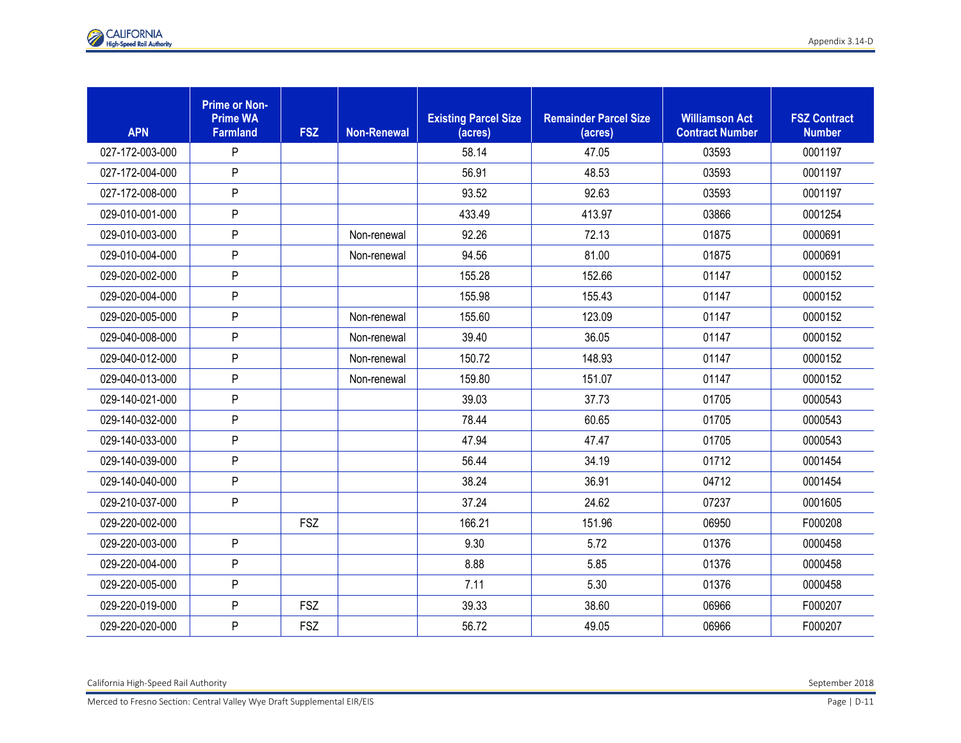| <b>APN</b>      | <b>Prime or Non-</b><br><b>Prime WA</b><br><b>Farmland</b> | <b>FSZ</b> | <b>Non-Renewal</b> | <b>Existing Parcel Size</b><br>(acres) | <b>Remainder Parcel Size</b><br>(acres) | <b>Williamson Act</b><br><b>Contract Number</b> | <b>FSZ Contract</b><br><b>Number</b> |
|-----------------|------------------------------------------------------------|------------|--------------------|----------------------------------------|-----------------------------------------|-------------------------------------------------|--------------------------------------|
| 027-172-003-000 | P                                                          |            |                    | 58.14                                  | 47.05                                   | 03593                                           | 0001197                              |
| 027-172-004-000 | P                                                          |            |                    | 56.91                                  | 48.53                                   | 03593                                           | 0001197                              |
| 027-172-008-000 | P                                                          |            |                    | 93.52                                  | 92.63                                   | 03593                                           | 0001197                              |
| 029-010-001-000 | P                                                          |            |                    | 433.49                                 | 413.97                                  | 03866                                           | 0001254                              |
| 029-010-003-000 | P                                                          |            | Non-renewal        | 92.26                                  | 72.13                                   | 01875                                           | 0000691                              |
| 029-010-004-000 | P                                                          |            | Non-renewal        | 94.56                                  | 81.00                                   | 01875                                           | 0000691                              |
| 029-020-002-000 | P                                                          |            |                    | 155.28                                 | 152.66                                  | 01147                                           | 0000152                              |
| 029-020-004-000 | P                                                          |            |                    | 155.98                                 | 155.43                                  | 01147                                           | 0000152                              |
| 029-020-005-000 | P                                                          |            | Non-renewal        | 155.60                                 | 123.09                                  | 01147                                           | 0000152                              |
| 029-040-008-000 | P                                                          |            | Non-renewal        | 39.40                                  | 36.05                                   | 01147                                           | 0000152                              |
| 029-040-012-000 | P                                                          |            | Non-renewal        | 150.72                                 | 148.93                                  | 01147                                           | 0000152                              |
| 029-040-013-000 | P                                                          |            | Non-renewal        | 159.80                                 | 151.07                                  | 01147                                           | 0000152                              |
| 029-140-021-000 | P                                                          |            |                    | 39.03                                  | 37.73                                   | 01705                                           | 0000543                              |
| 029-140-032-000 | P                                                          |            |                    | 78.44                                  | 60.65                                   | 01705                                           | 0000543                              |
| 029-140-033-000 | P                                                          |            |                    | 47.94                                  | 47.47                                   | 01705                                           | 0000543                              |
| 029-140-039-000 | P                                                          |            |                    | 56.44                                  | 34.19                                   | 01712                                           | 0001454                              |
| 029-140-040-000 | P                                                          |            |                    | 38.24                                  | 36.91                                   | 04712                                           | 0001454                              |
| 029-210-037-000 | P                                                          |            |                    | 37.24                                  | 24.62                                   | 07237                                           | 0001605                              |
| 029-220-002-000 |                                                            | <b>FSZ</b> |                    | 166.21                                 | 151.96                                  | 06950                                           | F000208                              |
| 029-220-003-000 | P                                                          |            |                    | 9.30                                   | 5.72                                    | 01376                                           | 0000458                              |
| 029-220-004-000 | P                                                          |            |                    | 8.88                                   | 5.85                                    | 01376                                           | 0000458                              |
| 029-220-005-000 | P                                                          |            |                    | 7.11                                   | 5.30                                    | 01376                                           | 0000458                              |
| 029-220-019-000 | P                                                          | <b>FSZ</b> |                    | 39.33                                  | 38.60                                   | 06966                                           | F000207                              |
| 029-220-020-000 | P                                                          | <b>FSZ</b> |                    | 56.72                                  | 49.05                                   | 06966                                           | F000207                              |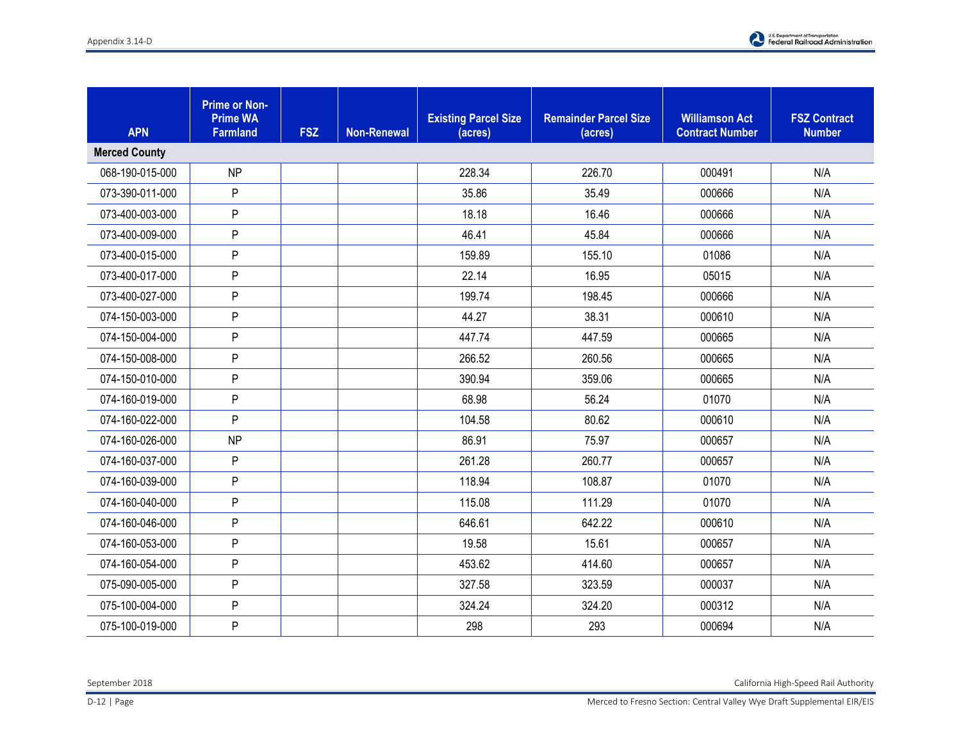| <b>APN</b>           | <b>Prime or Non-</b><br><b>Prime WA</b><br><b>Farmland</b> | <b>FSZ</b> | <b>Non-Renewal</b> | <b>Existing Parcel Size</b><br>(acres) | <b>Remainder Parcel Size</b><br>(acres) | <b>Williamson Act</b><br><b>Contract Number</b> | <b>FSZ Contract</b><br><b>Number</b> |
|----------------------|------------------------------------------------------------|------------|--------------------|----------------------------------------|-----------------------------------------|-------------------------------------------------|--------------------------------------|
| <b>Merced County</b> |                                                            |            |                    |                                        |                                         |                                                 |                                      |
| 068-190-015-000      | <b>NP</b>                                                  |            |                    | 228.34                                 | 226.70                                  | 000491                                          | N/A                                  |
| 073-390-011-000      | P                                                          |            |                    | 35.86                                  | 35.49                                   | 000666                                          | N/A                                  |
| 073-400-003-000      | P                                                          |            |                    | 18.18                                  | 16.46                                   | 000666                                          | N/A                                  |
| 073-400-009-000      | P                                                          |            |                    | 46.41                                  | 45.84                                   | 000666                                          | N/A                                  |
| 073-400-015-000      | P                                                          |            |                    | 159.89                                 | 155.10                                  | 01086                                           | N/A                                  |
| 073-400-017-000      | P                                                          |            |                    | 22.14                                  | 16.95                                   | 05015                                           | N/A                                  |
| 073-400-027-000      | P                                                          |            |                    | 199.74                                 | 198.45                                  | 000666                                          | N/A                                  |
| 074-150-003-000      | P                                                          |            |                    | 44.27                                  | 38.31                                   | 000610                                          | N/A                                  |
| 074-150-004-000      | P                                                          |            |                    | 447.74                                 | 447.59                                  | 000665                                          | N/A                                  |
| 074-150-008-000      | P                                                          |            |                    | 266.52                                 | 260.56                                  | 000665                                          | N/A                                  |
| 074-150-010-000      | P                                                          |            |                    | 390.94                                 | 359.06                                  | 000665                                          | N/A                                  |
| 074-160-019-000      | P                                                          |            |                    | 68.98                                  | 56.24                                   | 01070                                           | N/A                                  |
| 074-160-022-000      | P                                                          |            |                    | 104.58                                 | 80.62                                   | 000610                                          | N/A                                  |
| 074-160-026-000      | <b>NP</b>                                                  |            |                    | 86.91                                  | 75.97                                   | 000657                                          | N/A                                  |
| 074-160-037-000      | P                                                          |            |                    | 261.28                                 | 260.77                                  | 000657                                          | N/A                                  |
| 074-160-039-000      | P                                                          |            |                    | 118.94                                 | 108.87                                  | 01070                                           | N/A                                  |
| 074-160-040-000      | P                                                          |            |                    | 115.08                                 | 111.29                                  | 01070                                           | N/A                                  |
| 074-160-046-000      | P                                                          |            |                    | 646.61                                 | 642.22                                  | 000610                                          | N/A                                  |
| 074-160-053-000      | P                                                          |            |                    | 19.58                                  | 15.61                                   | 000657                                          | N/A                                  |
| 074-160-054-000      | P                                                          |            |                    | 453.62                                 | 414.60                                  | 000657                                          | N/A                                  |
| 075-090-005-000      | P                                                          |            |                    | 327.58                                 | 323.59                                  | 000037                                          | N/A                                  |
| 075-100-004-000      | P                                                          |            |                    | 324.24                                 | 324.20                                  | 000312                                          | N/A                                  |
| 075-100-019-000      | P                                                          |            |                    | 298                                    | 293                                     | 000694                                          | N/A                                  |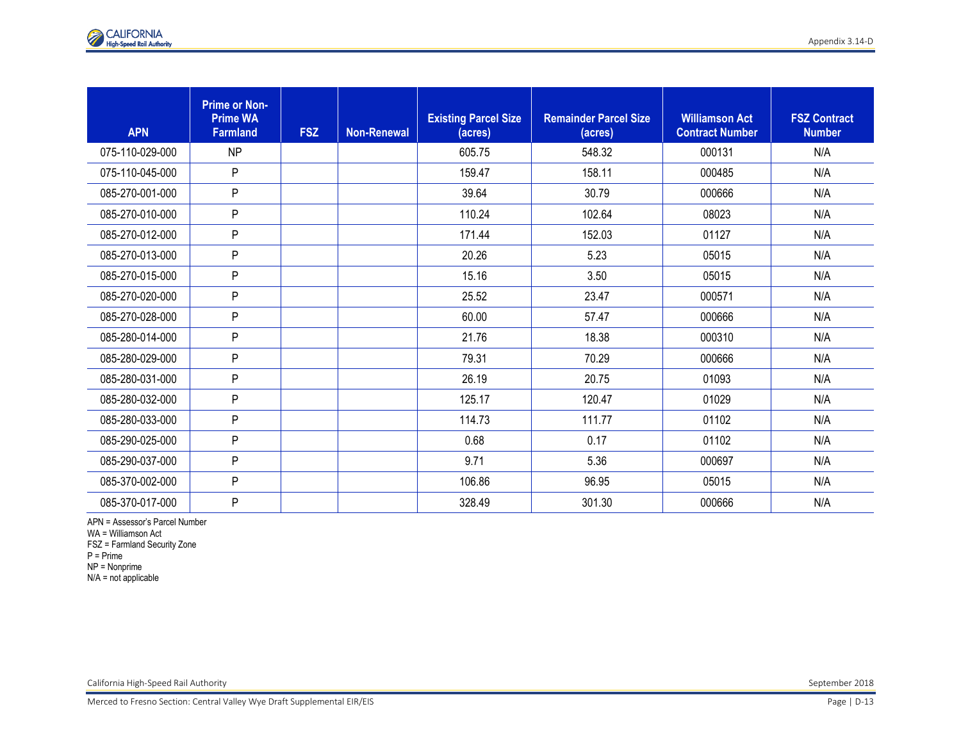| <b>APN</b>      | <b>Prime or Non-</b><br><b>Prime WA</b><br><b>Farmland</b> | <b>FSZ</b> | <b>Non-Renewal</b> | <b>Existing Parcel Size</b><br>(acres) | <b>Remainder Parcel Size</b><br>(acres) | <b>Williamson Act</b><br><b>Contract Number</b> | <b>FSZ Contract</b><br><b>Number</b> |
|-----------------|------------------------------------------------------------|------------|--------------------|----------------------------------------|-----------------------------------------|-------------------------------------------------|--------------------------------------|
| 075-110-029-000 | <b>NP</b>                                                  |            |                    | 605.75                                 | 548.32                                  | 000131                                          | N/A                                  |
| 075-110-045-000 | P                                                          |            |                    | 159.47                                 | 158.11                                  | 000485                                          | N/A                                  |
| 085-270-001-000 | P                                                          |            |                    | 39.64                                  | 30.79                                   | 000666                                          | N/A                                  |
| 085-270-010-000 | P                                                          |            |                    | 110.24                                 | 102.64                                  | 08023                                           | N/A                                  |
| 085-270-012-000 | P                                                          |            |                    | 171.44                                 | 152.03                                  | 01127                                           | N/A                                  |
| 085-270-013-000 | P                                                          |            |                    | 20.26                                  | 5.23                                    | 05015                                           | N/A                                  |
| 085-270-015-000 | P                                                          |            |                    | 15.16                                  | 3.50                                    | 05015                                           | N/A                                  |
| 085-270-020-000 | P                                                          |            |                    | 25.52                                  | 23.47                                   | 000571                                          | N/A                                  |
| 085-270-028-000 | P                                                          |            |                    | 60.00                                  | 57.47                                   | 000666                                          | N/A                                  |
| 085-280-014-000 | P                                                          |            |                    | 21.76                                  | 18.38                                   | 000310                                          | N/A                                  |
| 085-280-029-000 | P                                                          |            |                    | 79.31                                  | 70.29                                   | 000666                                          | N/A                                  |
| 085-280-031-000 | P                                                          |            |                    | 26.19                                  | 20.75                                   | 01093                                           | N/A                                  |
| 085-280-032-000 | P                                                          |            |                    | 125.17                                 | 120.47                                  | 01029                                           | N/A                                  |
| 085-280-033-000 | P                                                          |            |                    | 114.73                                 | 111.77                                  | 01102                                           | N/A                                  |
| 085-290-025-000 | P                                                          |            |                    | 0.68                                   | 0.17                                    | 01102                                           | N/A                                  |
| 085-290-037-000 | P                                                          |            |                    | 9.71                                   | 5.36                                    | 000697                                          | N/A                                  |
| 085-370-002-000 | P                                                          |            |                    | 106.86                                 | 96.95                                   | 05015                                           | N/A                                  |
| 085-370-017-000 | P                                                          |            |                    | 328.49                                 | 301.30                                  | 000666                                          | N/A                                  |

APN = Assessor's Parcel Number

WA = Williamson Act

FSZ = Farmland Security Zone

P = Prime

NP = Nonprime  $N/A$  = not applicable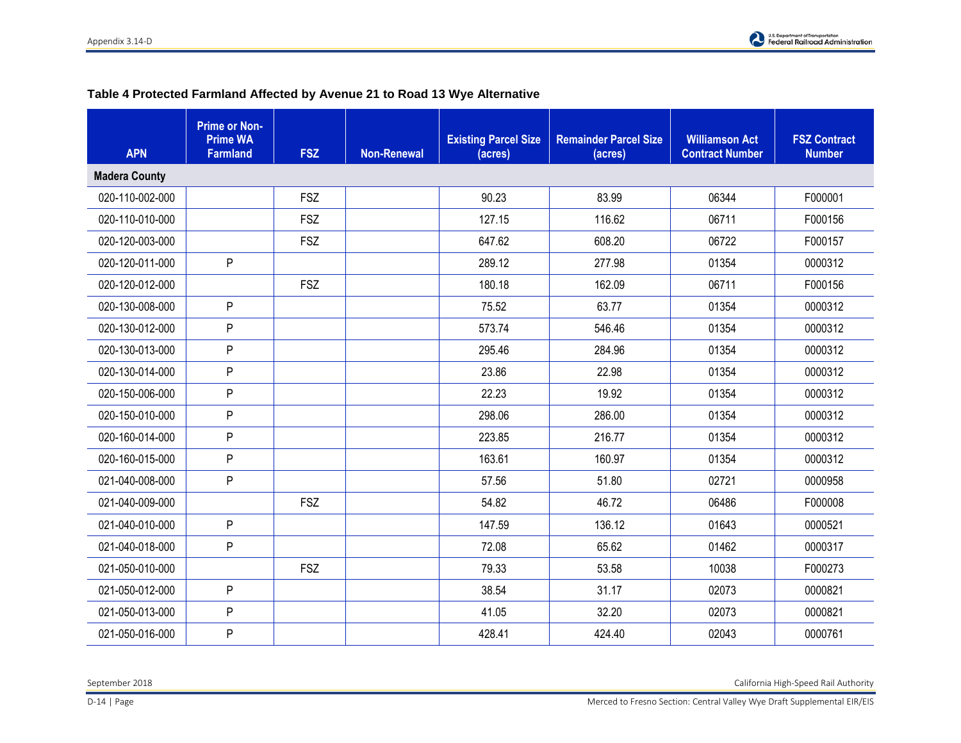### **Table 4 Protected Farmland Affected by Avenue 21 to Road 13 Wye Alternative**

| <b>APN</b>           | <b>Prime or Non-</b><br><b>Prime WA</b><br><b>Farmland</b> | <b>FSZ</b> | <b>Non-Renewal</b> | <b>Existing Parcel Size</b><br>(acres) | <b>Remainder Parcel Size</b><br>(acres) | <b>Williamson Act</b><br><b>Contract Number</b> | <b>FSZ Contract</b><br><b>Number</b> |
|----------------------|------------------------------------------------------------|------------|--------------------|----------------------------------------|-----------------------------------------|-------------------------------------------------|--------------------------------------|
| <b>Madera County</b> |                                                            |            |                    |                                        |                                         |                                                 |                                      |
| 020-110-002-000      |                                                            | <b>FSZ</b> |                    | 90.23                                  | 83.99                                   | 06344                                           | F000001                              |
| 020-110-010-000      |                                                            | <b>FSZ</b> |                    | 127.15                                 | 116.62                                  | 06711                                           | F000156                              |
| 020-120-003-000      |                                                            | FSZ        |                    | 647.62                                 | 608.20                                  | 06722                                           | F000157                              |
| 020-120-011-000      | P                                                          |            |                    | 289.12                                 | 277.98                                  | 01354                                           | 0000312                              |
| 020-120-012-000      |                                                            | <b>FSZ</b> |                    | 180.18                                 | 162.09                                  | 06711                                           | F000156                              |
| 020-130-008-000      | P                                                          |            |                    | 75.52                                  | 63.77                                   | 01354                                           | 0000312                              |
| 020-130-012-000      | P                                                          |            |                    | 573.74                                 | 546.46                                  | 01354                                           | 0000312                              |
| 020-130-013-000      | P                                                          |            |                    | 295.46                                 | 284.96                                  | 01354                                           | 0000312                              |
| 020-130-014-000      | P                                                          |            |                    | 23.86                                  | 22.98                                   | 01354                                           | 0000312                              |
| 020-150-006-000      | P                                                          |            |                    | 22.23                                  | 19.92                                   | 01354                                           | 0000312                              |
| 020-150-010-000      | P                                                          |            |                    | 298.06                                 | 286.00                                  | 01354                                           | 0000312                              |
| 020-160-014-000      | P                                                          |            |                    | 223.85                                 | 216.77                                  | 01354                                           | 0000312                              |
| 020-160-015-000      | P                                                          |            |                    | 163.61                                 | 160.97                                  | 01354                                           | 0000312                              |
| 021-040-008-000      | P                                                          |            |                    | 57.56                                  | 51.80                                   | 02721                                           | 0000958                              |
| 021-040-009-000      |                                                            | <b>FSZ</b> |                    | 54.82                                  | 46.72                                   | 06486                                           | F000008                              |
| 021-040-010-000      | P                                                          |            |                    | 147.59                                 | 136.12                                  | 01643                                           | 0000521                              |
| 021-040-018-000      | P                                                          |            |                    | 72.08                                  | 65.62                                   | 01462                                           | 0000317                              |
| 021-050-010-000      |                                                            | <b>FSZ</b> |                    | 79.33                                  | 53.58                                   | 10038                                           | F000273                              |
| 021-050-012-000      | P                                                          |            |                    | 38.54                                  | 31.17                                   | 02073                                           | 0000821                              |
| 021-050-013-000      | P                                                          |            |                    | 41.05                                  | 32.20                                   | 02073                                           | 0000821                              |
| 021-050-016-000      | P                                                          |            |                    | 428.41                                 | 424.40                                  | 02043                                           | 0000761                              |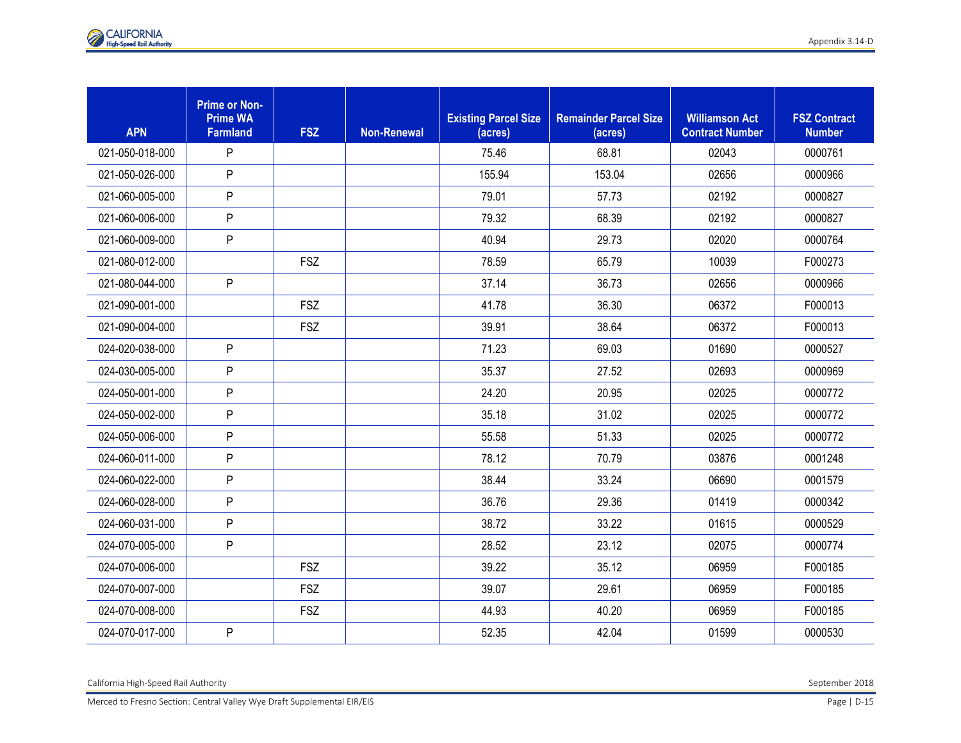| <b>APN</b>      | <b>Prime or Non-</b><br><b>Prime WA</b><br><b>Farmland</b> | <b>FSZ</b> | <b>Non-Renewal</b> | <b>Existing Parcel Size</b><br>(acres) | <b>Remainder Parcel Size</b><br>(acres) | <b>Williamson Act</b><br><b>Contract Number</b> | <b>FSZ Contract</b><br><b>Number</b> |
|-----------------|------------------------------------------------------------|------------|--------------------|----------------------------------------|-----------------------------------------|-------------------------------------------------|--------------------------------------|
| 021-050-018-000 | P                                                          |            |                    | 75.46                                  | 68.81                                   | 02043                                           | 0000761                              |
| 021-050-026-000 | P                                                          |            |                    | 155.94                                 | 153.04                                  | 02656                                           | 0000966                              |
| 021-060-005-000 | P                                                          |            |                    | 79.01                                  | 57.73                                   | 02192                                           | 0000827                              |
| 021-060-006-000 | P                                                          |            |                    | 79.32                                  | 68.39                                   | 02192                                           | 0000827                              |
| 021-060-009-000 | P                                                          |            |                    | 40.94                                  | 29.73                                   | 02020                                           | 0000764                              |
| 021-080-012-000 |                                                            | <b>FSZ</b> |                    | 78.59                                  | 65.79                                   | 10039                                           | F000273                              |
| 021-080-044-000 | ${\sf P}$                                                  |            |                    | 37.14                                  | 36.73                                   | 02656                                           | 0000966                              |
| 021-090-001-000 |                                                            | <b>FSZ</b> |                    | 41.78                                  | 36.30                                   | 06372                                           | F000013                              |
| 021-090-004-000 |                                                            | <b>FSZ</b> |                    | 39.91                                  | 38.64                                   | 06372                                           | F000013                              |
| 024-020-038-000 | P                                                          |            |                    | 71.23                                  | 69.03                                   | 01690                                           | 0000527                              |
| 024-030-005-000 | P                                                          |            |                    | 35.37                                  | 27.52                                   | 02693                                           | 0000969                              |
| 024-050-001-000 | P                                                          |            |                    | 24.20                                  | 20.95                                   | 02025                                           | 0000772                              |
| 024-050-002-000 | P                                                          |            |                    | 35.18                                  | 31.02                                   | 02025                                           | 0000772                              |
| 024-050-006-000 | P                                                          |            |                    | 55.58                                  | 51.33                                   | 02025                                           | 0000772                              |
| 024-060-011-000 | P                                                          |            |                    | 78.12                                  | 70.79                                   | 03876                                           | 0001248                              |
| 024-060-022-000 | P                                                          |            |                    | 38.44                                  | 33.24                                   | 06690                                           | 0001579                              |
| 024-060-028-000 | P                                                          |            |                    | 36.76                                  | 29.36                                   | 01419                                           | 0000342                              |
| 024-060-031-000 | P                                                          |            |                    | 38.72                                  | 33.22                                   | 01615                                           | 0000529                              |
| 024-070-005-000 | P                                                          |            |                    | 28.52                                  | 23.12                                   | 02075                                           | 0000774                              |
| 024-070-006-000 |                                                            | <b>FSZ</b> |                    | 39.22                                  | 35.12                                   | 06959                                           | F000185                              |
| 024-070-007-000 |                                                            | <b>FSZ</b> |                    | 39.07                                  | 29.61                                   | 06959                                           | F000185                              |
| 024-070-008-000 |                                                            | <b>FSZ</b> |                    | 44.93                                  | 40.20                                   | 06959                                           | F000185                              |
| 024-070-017-000 | P                                                          |            |                    | 52.35                                  | 42.04                                   | 01599                                           | 0000530                              |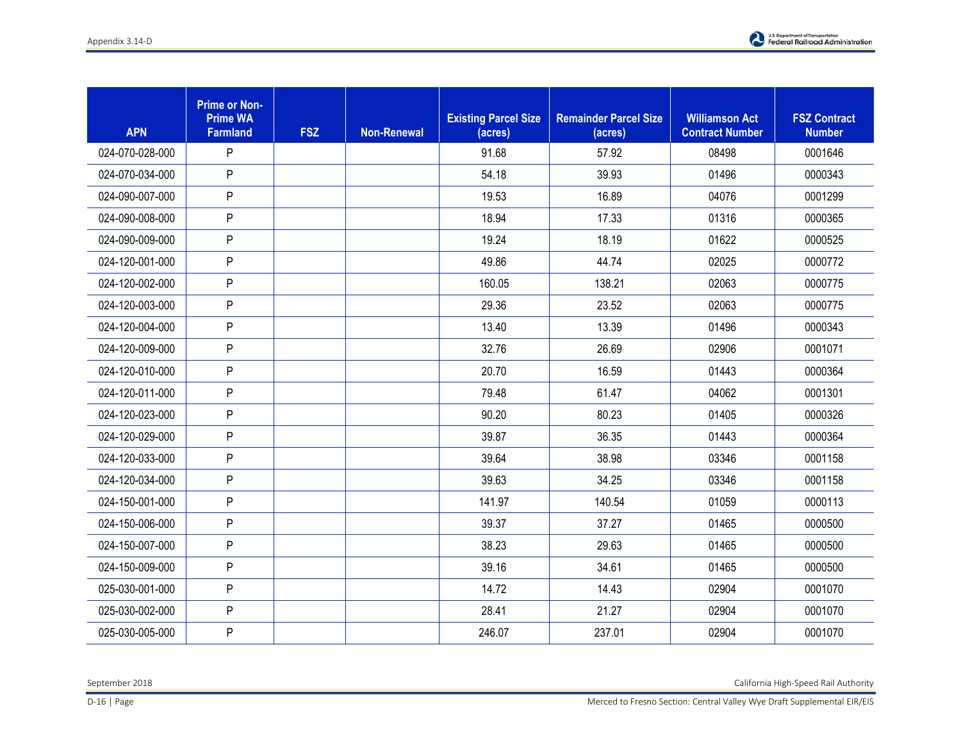| <b>APN</b>      | <b>Prime or Non-</b><br><b>Prime WA</b><br><b>Farmland</b> | <b>FSZ</b> | <b>Non-Renewal</b> | <b>Existing Parcel Size</b><br>(acres) | <b>Remainder Parcel Size</b><br>(acres) | <b>Williamson Act</b><br><b>Contract Number</b> | <b>FSZ Contract</b><br><b>Number</b> |
|-----------------|------------------------------------------------------------|------------|--------------------|----------------------------------------|-----------------------------------------|-------------------------------------------------|--------------------------------------|
| 024-070-028-000 | P                                                          |            |                    | 91.68                                  | 57.92                                   | 08498                                           | 0001646                              |
| 024-070-034-000 | P                                                          |            |                    | 54.18                                  | 39.93                                   | 01496                                           | 0000343                              |
| 024-090-007-000 | P                                                          |            |                    | 19.53                                  | 16.89                                   | 04076                                           | 0001299                              |
| 024-090-008-000 | P                                                          |            |                    | 18.94                                  | 17.33                                   | 01316                                           | 0000365                              |
| 024-090-009-000 | P                                                          |            |                    | 19.24                                  | 18.19                                   | 01622                                           | 0000525                              |
| 024-120-001-000 | P                                                          |            |                    | 49.86                                  | 44.74                                   | 02025                                           | 0000772                              |
| 024-120-002-000 | P                                                          |            |                    | 160.05                                 | 138.21                                  | 02063                                           | 0000775                              |
| 024-120-003-000 | P                                                          |            |                    | 29.36                                  | 23.52                                   | 02063                                           | 0000775                              |
| 024-120-004-000 | P                                                          |            |                    | 13.40                                  | 13.39                                   | 01496                                           | 0000343                              |
| 024-120-009-000 | P                                                          |            |                    | 32.76                                  | 26.69                                   | 02906                                           | 0001071                              |
| 024-120-010-000 | P                                                          |            |                    | 20.70                                  | 16.59                                   | 01443                                           | 0000364                              |
| 024-120-011-000 | P                                                          |            |                    | 79.48                                  | 61.47                                   | 04062                                           | 0001301                              |
| 024-120-023-000 | P                                                          |            |                    | 90.20                                  | 80.23                                   | 01405                                           | 0000326                              |
| 024-120-029-000 | P                                                          |            |                    | 39.87                                  | 36.35                                   | 01443                                           | 0000364                              |
| 024-120-033-000 | P                                                          |            |                    | 39.64                                  | 38.98                                   | 03346                                           | 0001158                              |
| 024-120-034-000 | P                                                          |            |                    | 39.63                                  | 34.25                                   | 03346                                           | 0001158                              |
| 024-150-001-000 | P                                                          |            |                    | 141.97                                 | 140.54                                  | 01059                                           | 0000113                              |
| 024-150-006-000 | P                                                          |            |                    | 39.37                                  | 37.27                                   | 01465                                           | 0000500                              |
| 024-150-007-000 | P                                                          |            |                    | 38.23                                  | 29.63                                   | 01465                                           | 0000500                              |
| 024-150-009-000 | P                                                          |            |                    | 39.16                                  | 34.61                                   | 01465                                           | 0000500                              |
| 025-030-001-000 | P                                                          |            |                    | 14.72                                  | 14.43                                   | 02904                                           | 0001070                              |
| 025-030-002-000 | P                                                          |            |                    | 28.41                                  | 21.27                                   | 02904                                           | 0001070                              |
| 025-030-005-000 | P                                                          |            |                    | 246.07                                 | 237.01                                  | 02904                                           | 0001070                              |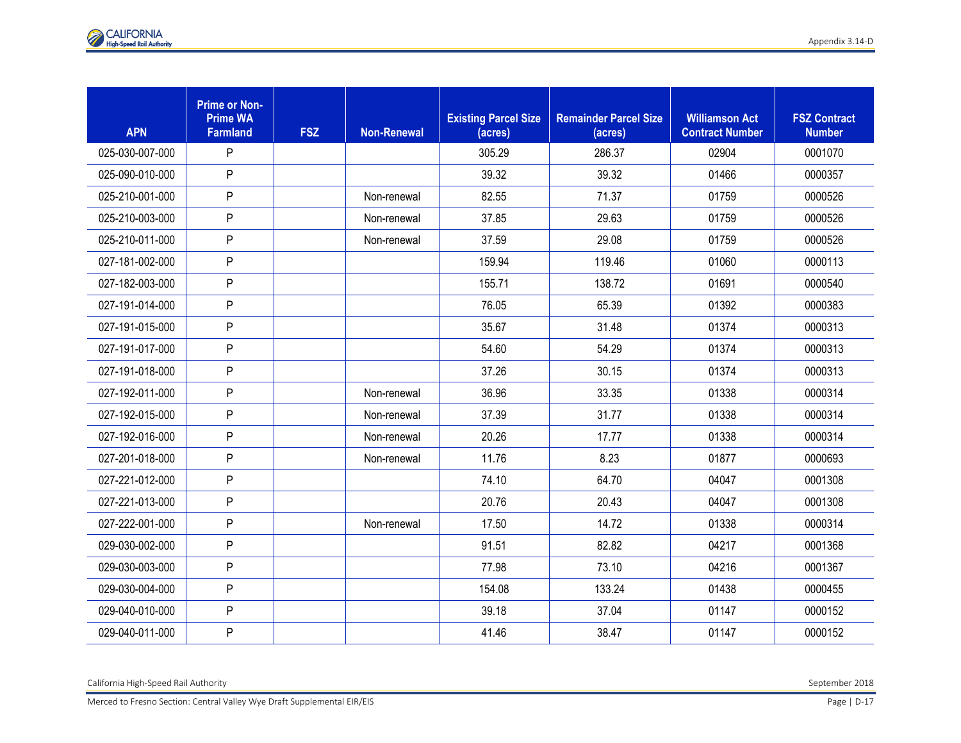| <b>APN</b>      | <b>Prime or Non-</b><br><b>Prime WA</b><br><b>Farmland</b> | <b>FSZ</b> | <b>Non-Renewal</b> | <b>Existing Parcel Size</b><br>(acres) | <b>Remainder Parcel Size</b><br>(acres) | <b>Williamson Act</b><br><b>Contract Number</b> | <b>FSZ Contract</b><br><b>Number</b> |
|-----------------|------------------------------------------------------------|------------|--------------------|----------------------------------------|-----------------------------------------|-------------------------------------------------|--------------------------------------|
| 025-030-007-000 | P                                                          |            |                    | 305.29                                 | 286.37                                  | 02904                                           | 0001070                              |
| 025-090-010-000 | P                                                          |            |                    | 39.32                                  | 39.32                                   | 01466                                           | 0000357                              |
| 025-210-001-000 | P                                                          |            | Non-renewal        | 82.55                                  | 71.37                                   | 01759                                           | 0000526                              |
| 025-210-003-000 | P                                                          |            | Non-renewal        | 37.85                                  | 29.63                                   | 01759                                           | 0000526                              |
| 025-210-011-000 | P                                                          |            | Non-renewal        | 37.59                                  | 29.08                                   | 01759                                           | 0000526                              |
| 027-181-002-000 | P                                                          |            |                    | 159.94                                 | 119.46                                  | 01060                                           | 0000113                              |
| 027-182-003-000 | P                                                          |            |                    | 155.71                                 | 138.72                                  | 01691                                           | 0000540                              |
| 027-191-014-000 | P                                                          |            |                    | 76.05                                  | 65.39                                   | 01392                                           | 0000383                              |
| 027-191-015-000 | P                                                          |            |                    | 35.67                                  | 31.48                                   | 01374                                           | 0000313                              |
| 027-191-017-000 | P                                                          |            |                    | 54.60                                  | 54.29                                   | 01374                                           | 0000313                              |
| 027-191-018-000 | P                                                          |            |                    | 37.26                                  | 30.15                                   | 01374                                           | 0000313                              |
| 027-192-011-000 | P                                                          |            | Non-renewal        | 36.96                                  | 33.35                                   | 01338                                           | 0000314                              |
| 027-192-015-000 | P                                                          |            | Non-renewal        | 37.39                                  | 31.77                                   | 01338                                           | 0000314                              |
| 027-192-016-000 | P                                                          |            | Non-renewal        | 20.26                                  | 17.77                                   | 01338                                           | 0000314                              |
| 027-201-018-000 | P                                                          |            | Non-renewal        | 11.76                                  | 8.23                                    | 01877                                           | 0000693                              |
| 027-221-012-000 | P                                                          |            |                    | 74.10                                  | 64.70                                   | 04047                                           | 0001308                              |
| 027-221-013-000 | P                                                          |            |                    | 20.76                                  | 20.43                                   | 04047                                           | 0001308                              |
| 027-222-001-000 | P                                                          |            | Non-renewal        | 17.50                                  | 14.72                                   | 01338                                           | 0000314                              |
| 029-030-002-000 | P                                                          |            |                    | 91.51                                  | 82.82                                   | 04217                                           | 0001368                              |
| 029-030-003-000 | P                                                          |            |                    | 77.98                                  | 73.10                                   | 04216                                           | 0001367                              |
| 029-030-004-000 | P                                                          |            |                    | 154.08                                 | 133.24                                  | 01438                                           | 0000455                              |
| 029-040-010-000 | P                                                          |            |                    | 39.18                                  | 37.04                                   | 01147                                           | 0000152                              |
| 029-040-011-000 | P                                                          |            |                    | 41.46                                  | 38.47                                   | 01147                                           | 0000152                              |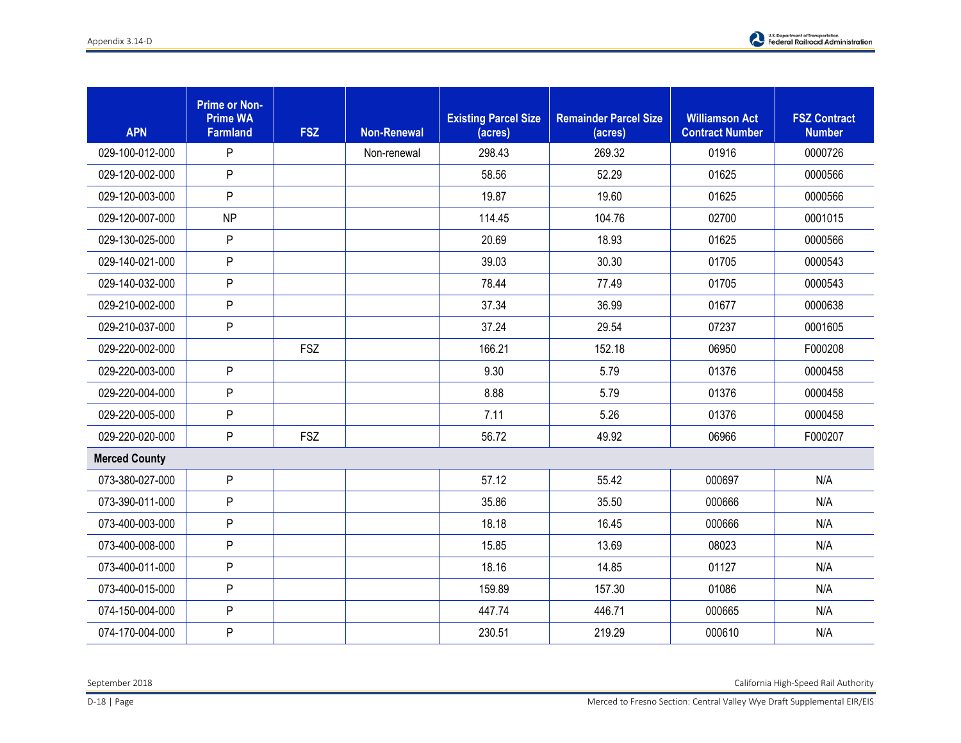| <b>APN</b>           | <b>Prime or Non-</b><br><b>Prime WA</b><br><b>Farmland</b> | <b>FSZ</b> | <b>Non-Renewal</b> | <b>Existing Parcel Size</b><br>(acres) | <b>Remainder Parcel Size</b><br>(acres) | <b>Williamson Act</b><br><b>Contract Number</b> | <b>FSZ Contract</b><br><b>Number</b> |
|----------------------|------------------------------------------------------------|------------|--------------------|----------------------------------------|-----------------------------------------|-------------------------------------------------|--------------------------------------|
| 029-100-012-000      | P                                                          |            | Non-renewal        | 298.43                                 | 269.32                                  | 01916                                           | 0000726                              |
| 029-120-002-000      | P                                                          |            |                    | 58.56                                  | 52.29                                   | 01625                                           | 0000566                              |
| 029-120-003-000      | P                                                          |            |                    | 19.87                                  | 19.60                                   | 01625                                           | 0000566                              |
| 029-120-007-000      | <b>NP</b>                                                  |            |                    | 114.45                                 | 104.76                                  | 02700                                           | 0001015                              |
| 029-130-025-000      | P                                                          |            |                    | 20.69                                  | 18.93                                   | 01625                                           | 0000566                              |
| 029-140-021-000      | P                                                          |            |                    | 39.03                                  | 30.30                                   | 01705                                           | 0000543                              |
| 029-140-032-000      | P                                                          |            |                    | 78.44                                  | 77.49                                   | 01705                                           | 0000543                              |
| 029-210-002-000      | P                                                          |            |                    | 37.34                                  | 36.99                                   | 01677                                           | 0000638                              |
| 029-210-037-000      | P                                                          |            |                    | 37.24                                  | 29.54                                   | 07237                                           | 0001605                              |
| 029-220-002-000      |                                                            | <b>FSZ</b> |                    | 166.21                                 | 152.18                                  | 06950                                           | F000208                              |
| 029-220-003-000      | P                                                          |            |                    | 9.30                                   | 5.79                                    | 01376                                           | 0000458                              |
| 029-220-004-000      | P                                                          |            |                    | 8.88                                   | 5.79                                    | 01376                                           | 0000458                              |
| 029-220-005-000      | P                                                          |            |                    | 7.11                                   | 5.26                                    | 01376                                           | 0000458                              |
| 029-220-020-000      | P                                                          | <b>FSZ</b> |                    | 56.72                                  | 49.92                                   | 06966                                           | F000207                              |
| <b>Merced County</b> |                                                            |            |                    |                                        |                                         |                                                 |                                      |
| 073-380-027-000      | P                                                          |            |                    | 57.12                                  | 55.42                                   | 000697                                          | N/A                                  |
| 073-390-011-000      | P                                                          |            |                    | 35.86                                  | 35.50                                   | 000666                                          | N/A                                  |
| 073-400-003-000      | P                                                          |            |                    | 18.18                                  | 16.45                                   | 000666                                          | N/A                                  |
| 073-400-008-000      | P                                                          |            |                    | 15.85                                  | 13.69                                   | 08023                                           | N/A                                  |
| 073-400-011-000      | P                                                          |            |                    | 18.16                                  | 14.85                                   | 01127                                           | N/A                                  |
| 073-400-015-000      | $\mathsf{P}$                                               |            |                    | 159.89                                 | 157.30                                  | 01086                                           | N/A                                  |
| 074-150-004-000      | P                                                          |            |                    | 447.74                                 | 446.71                                  | 000665                                          | N/A                                  |
| 074-170-004-000      | P                                                          |            |                    | 230.51                                 | 219.29                                  | 000610                                          | N/A                                  |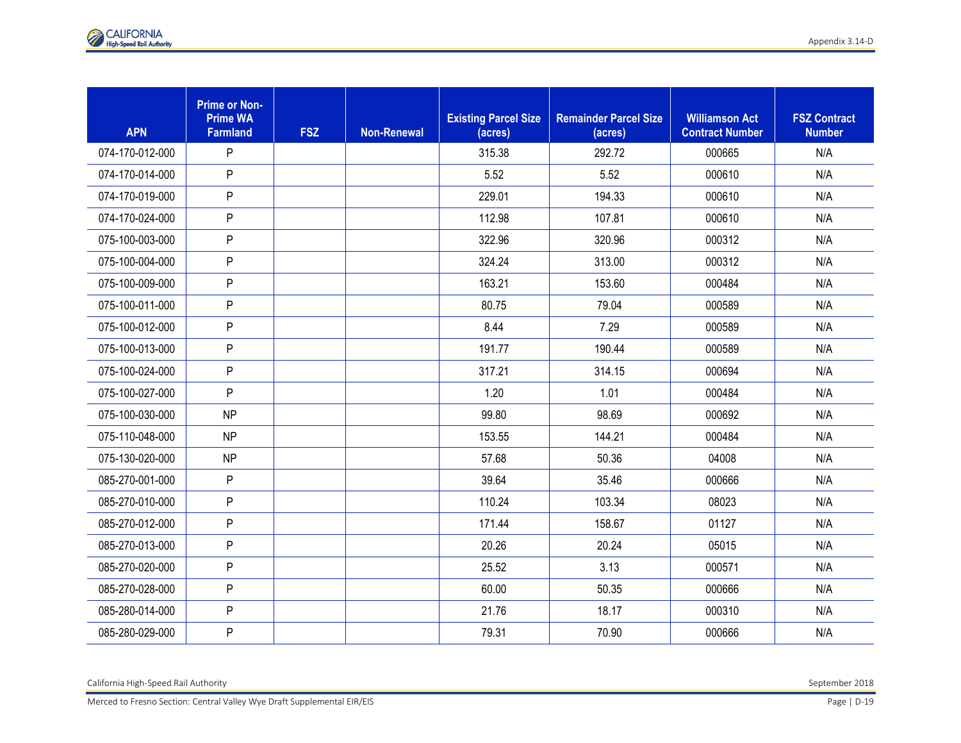| <b>APN</b>      | <b>Prime or Non-</b><br><b>Prime WA</b><br><b>Farmland</b> | <b>FSZ</b> | <b>Non-Renewal</b> | <b>Existing Parcel Size</b><br>(acres) | <b>Remainder Parcel Size</b><br>(acres) | <b>Williamson Act</b><br><b>Contract Number</b> | <b>FSZ Contract</b><br><b>Number</b> |
|-----------------|------------------------------------------------------------|------------|--------------------|----------------------------------------|-----------------------------------------|-------------------------------------------------|--------------------------------------|
| 074-170-012-000 | P                                                          |            |                    | 315.38                                 | 292.72                                  | 000665                                          | N/A                                  |
| 074-170-014-000 | P                                                          |            |                    | 5.52                                   | 5.52                                    | 000610                                          | N/A                                  |
| 074-170-019-000 | P                                                          |            |                    | 229.01                                 | 194.33                                  | 000610                                          | N/A                                  |
| 074-170-024-000 | P                                                          |            |                    | 112.98                                 | 107.81                                  | 000610                                          | N/A                                  |
| 075-100-003-000 | P                                                          |            |                    | 322.96                                 | 320.96                                  | 000312                                          | N/A                                  |
| 075-100-004-000 | P                                                          |            |                    | 324.24                                 | 313.00                                  | 000312                                          | N/A                                  |
| 075-100-009-000 | P                                                          |            |                    | 163.21                                 | 153.60                                  | 000484                                          | N/A                                  |
| 075-100-011-000 | P                                                          |            |                    | 80.75                                  | 79.04                                   | 000589                                          | N/A                                  |
| 075-100-012-000 | P                                                          |            |                    | 8.44                                   | 7.29                                    | 000589                                          | N/A                                  |
| 075-100-013-000 | P                                                          |            |                    | 191.77                                 | 190.44                                  | 000589                                          | N/A                                  |
| 075-100-024-000 | P                                                          |            |                    | 317.21                                 | 314.15                                  | 000694                                          | N/A                                  |
| 075-100-027-000 | P                                                          |            |                    | 1.20                                   | 1.01                                    | 000484                                          | N/A                                  |
| 075-100-030-000 | <b>NP</b>                                                  |            |                    | 99.80                                  | 98.69                                   | 000692                                          | N/A                                  |
| 075-110-048-000 | <b>NP</b>                                                  |            |                    | 153.55                                 | 144.21                                  | 000484                                          | N/A                                  |
| 075-130-020-000 | <b>NP</b>                                                  |            |                    | 57.68                                  | 50.36                                   | 04008                                           | N/A                                  |
| 085-270-001-000 | P                                                          |            |                    | 39.64                                  | 35.46                                   | 000666                                          | N/A                                  |
| 085-270-010-000 | P                                                          |            |                    | 110.24                                 | 103.34                                  | 08023                                           | N/A                                  |
| 085-270-012-000 | P                                                          |            |                    | 171.44                                 | 158.67                                  | 01127                                           | N/A                                  |
| 085-270-013-000 | P                                                          |            |                    | 20.26                                  | 20.24                                   | 05015                                           | N/A                                  |
| 085-270-020-000 | P                                                          |            |                    | 25.52                                  | 3.13                                    | 000571                                          | N/A                                  |
| 085-270-028-000 | P                                                          |            |                    | 60.00                                  | 50.35                                   | 000666                                          | N/A                                  |
| 085-280-014-000 | P                                                          |            |                    | 21.76                                  | 18.17                                   | 000310                                          | N/A                                  |
| 085-280-029-000 | P                                                          |            |                    | 79.31                                  | 70.90                                   | 000666                                          | N/A                                  |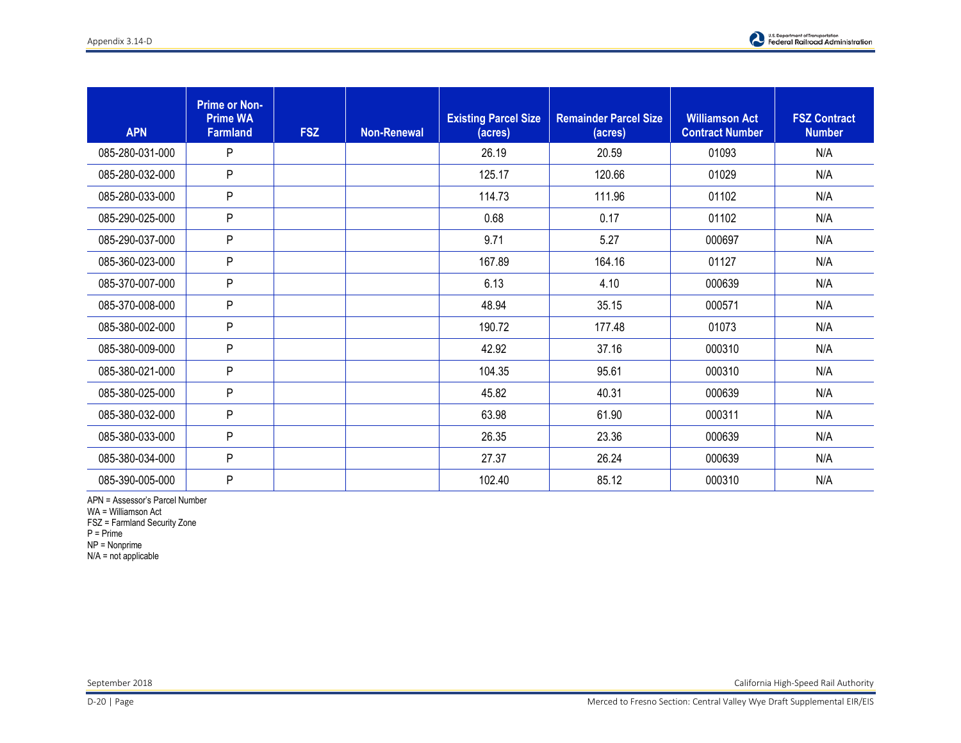| <b>APN</b>      | <b>Prime or Non-</b><br><b>Prime WA</b><br><b>Farmland</b> | <b>FSZ</b> | Non-Renewal | <b>Existing Parcel Size</b><br>(acres) | <b>Remainder Parcel Size</b><br>(acres) | <b>Williamson Act</b><br><b>Contract Number</b> | <b>FSZ Contract</b><br><b>Number</b> |
|-----------------|------------------------------------------------------------|------------|-------------|----------------------------------------|-----------------------------------------|-------------------------------------------------|--------------------------------------|
| 085-280-031-000 | P                                                          |            |             | 26.19                                  | 20.59                                   | 01093                                           | N/A                                  |
| 085-280-032-000 | P                                                          |            |             | 125.17                                 | 120.66                                  | 01029                                           | N/A                                  |
| 085-280-033-000 | P                                                          |            |             | 114.73                                 | 111.96                                  | 01102                                           | N/A                                  |
| 085-290-025-000 | P                                                          |            |             | 0.68                                   | 0.17                                    | 01102                                           | N/A                                  |
| 085-290-037-000 | P                                                          |            |             | 9.71                                   | 5.27                                    | 000697                                          | N/A                                  |
| 085-360-023-000 | P                                                          |            |             | 167.89                                 | 164.16                                  | 01127                                           | N/A                                  |
| 085-370-007-000 | P                                                          |            |             | 6.13                                   | 4.10                                    | 000639                                          | N/A                                  |
| 085-370-008-000 | P                                                          |            |             | 48.94                                  | 35.15                                   | 000571                                          | N/A                                  |
| 085-380-002-000 | P                                                          |            |             | 190.72                                 | 177.48                                  | 01073                                           | N/A                                  |
| 085-380-009-000 | P                                                          |            |             | 42.92                                  | 37.16                                   | 000310                                          | N/A                                  |
| 085-380-021-000 | P                                                          |            |             | 104.35                                 | 95.61                                   | 000310                                          | N/A                                  |
| 085-380-025-000 | P                                                          |            |             | 45.82                                  | 40.31                                   | 000639                                          | N/A                                  |
| 085-380-032-000 | P                                                          |            |             | 63.98                                  | 61.90                                   | 000311                                          | N/A                                  |
| 085-380-033-000 | P                                                          |            |             | 26.35                                  | 23.36                                   | 000639                                          | N/A                                  |
| 085-380-034-000 | P                                                          |            |             | 27.37                                  | 26.24                                   | 000639                                          | N/A                                  |
| 085-390-005-000 | P                                                          |            |             | 102.40                                 | 85.12                                   | 000310                                          | N/A                                  |

APN = Assessor's Parcel Number

WA = Williamson Act

FSZ = Farmland Security Zone

P = Prime

NP = Nonprime

 $N/A$  = not applicable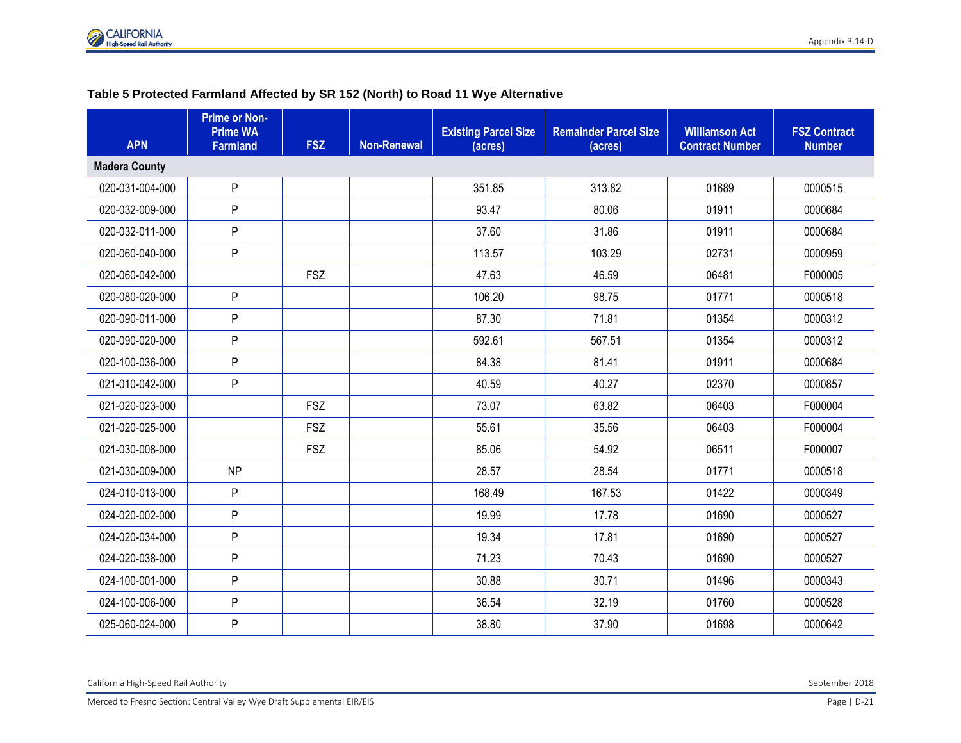### **Table 5 Protected Farmland Affected by SR 152 (North) to Road 11 Wye Alternative**

| <b>APN</b>           | <b>Prime or Non-</b><br><b>Prime WA</b><br><b>Farmland</b> | <b>FSZ</b> | <b>Non-Renewal</b> | <b>Existing Parcel Size</b><br>(acres) | <b>Remainder Parcel Size</b><br>(acres) | <b>Williamson Act</b><br><b>Contract Number</b> | <b>FSZ Contract</b><br><b>Number</b> |
|----------------------|------------------------------------------------------------|------------|--------------------|----------------------------------------|-----------------------------------------|-------------------------------------------------|--------------------------------------|
| <b>Madera County</b> |                                                            |            |                    |                                        |                                         |                                                 |                                      |
| 020-031-004-000      | P                                                          |            |                    | 351.85                                 | 313.82                                  | 01689                                           | 0000515                              |
| 020-032-009-000      | P                                                          |            |                    | 93.47                                  | 80.06                                   | 01911                                           | 0000684                              |
| 020-032-011-000      | P                                                          |            |                    | 37.60                                  | 31.86                                   | 01911                                           | 0000684                              |
| 020-060-040-000      | P                                                          |            |                    | 113.57                                 | 103.29                                  | 02731                                           | 0000959                              |
| 020-060-042-000      |                                                            | <b>FSZ</b> |                    | 47.63                                  | 46.59                                   | 06481                                           | F000005                              |
| 020-080-020-000      | P                                                          |            |                    | 106.20                                 | 98.75                                   | 01771                                           | 0000518                              |
| 020-090-011-000      | P                                                          |            |                    | 87.30                                  | 71.81                                   | 01354                                           | 0000312                              |
| 020-090-020-000      | P                                                          |            |                    | 592.61                                 | 567.51                                  | 01354                                           | 0000312                              |
| 020-100-036-000      | ${\sf P}$                                                  |            |                    | 84.38                                  | 81.41                                   | 01911                                           | 0000684                              |
| 021-010-042-000      | P                                                          |            |                    | 40.59                                  | 40.27                                   | 02370                                           | 0000857                              |
| 021-020-023-000      |                                                            | <b>FSZ</b> |                    | 73.07                                  | 63.82                                   | 06403                                           | F000004                              |
| 021-020-025-000      |                                                            | <b>FSZ</b> |                    | 55.61                                  | 35.56                                   | 06403                                           | F000004                              |
| 021-030-008-000      |                                                            | <b>FSZ</b> |                    | 85.06                                  | 54.92                                   | 06511                                           | F000007                              |
| 021-030-009-000      | <b>NP</b>                                                  |            |                    | 28.57                                  | 28.54                                   | 01771                                           | 0000518                              |
| 024-010-013-000      | P                                                          |            |                    | 168.49                                 | 167.53                                  | 01422                                           | 0000349                              |
| 024-020-002-000      | P                                                          |            |                    | 19.99                                  | 17.78                                   | 01690                                           | 0000527                              |
| 024-020-034-000      | ${\sf P}$                                                  |            |                    | 19.34                                  | 17.81                                   | 01690                                           | 0000527                              |
| 024-020-038-000      | ${\sf P}$                                                  |            |                    | 71.23                                  | 70.43                                   | 01690                                           | 0000527                              |
| 024-100-001-000      | P                                                          |            |                    | 30.88                                  | 30.71                                   | 01496                                           | 0000343                              |
| 024-100-006-000      | P                                                          |            |                    | 36.54                                  | 32.19                                   | 01760                                           | 0000528                              |
| 025-060-024-000      | P                                                          |            |                    | 38.80                                  | 37.90                                   | 01698                                           | 0000642                              |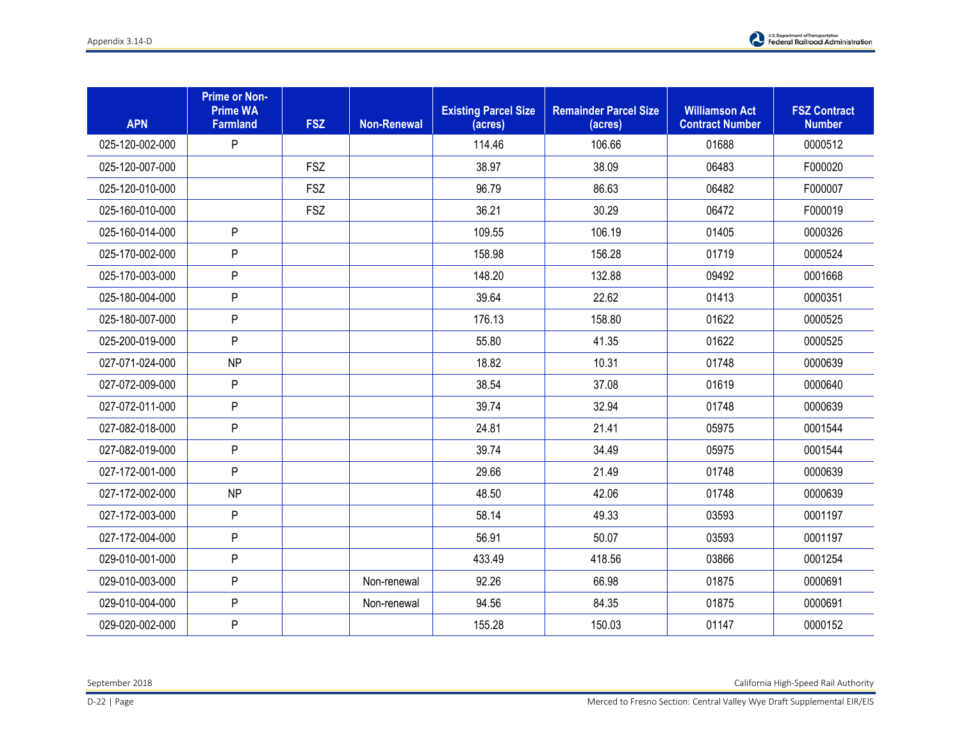| <b>APN</b>      | <b>Prime or Non-</b><br><b>Prime WA</b><br><b>Farmland</b> | <b>FSZ</b> | <b>Non-Renewal</b> | <b>Existing Parcel Size</b><br>(acres) | <b>Remainder Parcel Size</b><br>(acres) | <b>Williamson Act</b><br><b>Contract Number</b> | <b>FSZ Contract</b><br><b>Number</b> |
|-----------------|------------------------------------------------------------|------------|--------------------|----------------------------------------|-----------------------------------------|-------------------------------------------------|--------------------------------------|
| 025-120-002-000 | P                                                          |            |                    | 114.46                                 | 106.66                                  | 01688                                           | 0000512                              |
| 025-120-007-000 |                                                            | <b>FSZ</b> |                    | 38.97                                  | 38.09                                   | 06483                                           | F000020                              |
| 025-120-010-000 |                                                            | <b>FSZ</b> |                    | 96.79                                  | 86.63                                   | 06482                                           | F000007                              |
| 025-160-010-000 |                                                            | <b>FSZ</b> |                    | 36.21                                  | 30.29                                   | 06472                                           | F000019                              |
| 025-160-014-000 | P                                                          |            |                    | 109.55                                 | 106.19                                  | 01405                                           | 0000326                              |
| 025-170-002-000 | P                                                          |            |                    | 158.98                                 | 156.28                                  | 01719                                           | 0000524                              |
| 025-170-003-000 | P                                                          |            |                    | 148.20                                 | 132.88                                  | 09492                                           | 0001668                              |
| 025-180-004-000 | P                                                          |            |                    | 39.64                                  | 22.62                                   | 01413                                           | 0000351                              |
| 025-180-007-000 | P                                                          |            |                    | 176.13                                 | 158.80                                  | 01622                                           | 0000525                              |
| 025-200-019-000 | P                                                          |            |                    | 55.80                                  | 41.35                                   | 01622                                           | 0000525                              |
| 027-071-024-000 | <b>NP</b>                                                  |            |                    | 18.82                                  | 10.31                                   | 01748                                           | 0000639                              |
| 027-072-009-000 | P                                                          |            |                    | 38.54                                  | 37.08                                   | 01619                                           | 0000640                              |
| 027-072-011-000 | P                                                          |            |                    | 39.74                                  | 32.94                                   | 01748                                           | 0000639                              |
| 027-082-018-000 | P                                                          |            |                    | 24.81                                  | 21.41                                   | 05975                                           | 0001544                              |
| 027-082-019-000 | P                                                          |            |                    | 39.74                                  | 34.49                                   | 05975                                           | 0001544                              |
| 027-172-001-000 | P                                                          |            |                    | 29.66                                  | 21.49                                   | 01748                                           | 0000639                              |
| 027-172-002-000 | <b>NP</b>                                                  |            |                    | 48.50                                  | 42.06                                   | 01748                                           | 0000639                              |
| 027-172-003-000 | P                                                          |            |                    | 58.14                                  | 49.33                                   | 03593                                           | 0001197                              |
| 027-172-004-000 | P                                                          |            |                    | 56.91                                  | 50.07                                   | 03593                                           | 0001197                              |
| 029-010-001-000 | P                                                          |            |                    | 433.49                                 | 418.56                                  | 03866                                           | 0001254                              |
| 029-010-003-000 | P                                                          |            | Non-renewal        | 92.26                                  | 66.98                                   | 01875                                           | 0000691                              |
| 029-010-004-000 | P                                                          |            | Non-renewal        | 94.56                                  | 84.35                                   | 01875                                           | 0000691                              |
| 029-020-002-000 | P                                                          |            |                    | 155.28                                 | 150.03                                  | 01147                                           | 0000152                              |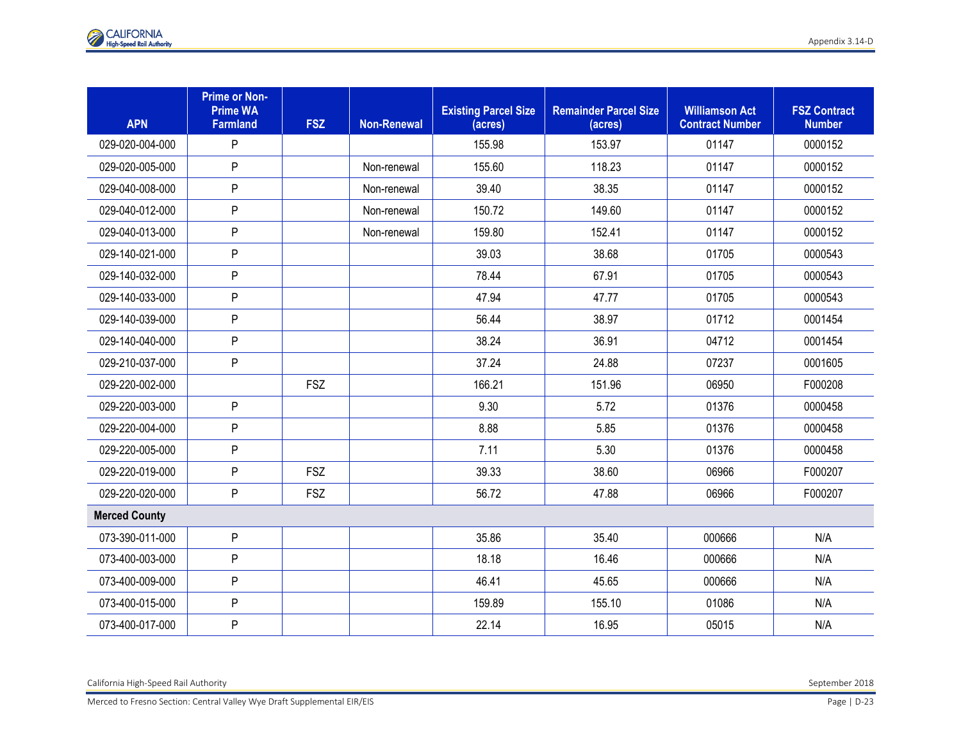| <b>APN</b>           | <b>Prime or Non-</b><br><b>Prime WA</b><br><b>Farmland</b> | <b>FSZ</b> | <b>Non-Renewal</b> | <b>Existing Parcel Size</b><br>(acres) | <b>Remainder Parcel Size</b><br>(acres) | <b>Williamson Act</b><br><b>Contract Number</b> | <b>FSZ Contract</b><br><b>Number</b> |
|----------------------|------------------------------------------------------------|------------|--------------------|----------------------------------------|-----------------------------------------|-------------------------------------------------|--------------------------------------|
| 029-020-004-000      | P                                                          |            |                    | 155.98                                 | 153.97                                  | 01147                                           | 0000152                              |
| 029-020-005-000      | P                                                          |            | Non-renewal        | 155.60                                 | 118.23                                  | 01147                                           | 0000152                              |
| 029-040-008-000      | P                                                          |            | Non-renewal        | 39.40                                  | 38.35                                   | 01147                                           | 0000152                              |
| 029-040-012-000      | P                                                          |            | Non-renewal        | 150.72                                 | 149.60                                  | 01147                                           | 0000152                              |
| 029-040-013-000      | P                                                          |            | Non-renewal        | 159.80                                 | 152.41                                  | 01147                                           | 0000152                              |
| 029-140-021-000      | P                                                          |            |                    | 39.03                                  | 38.68                                   | 01705                                           | 0000543                              |
| 029-140-032-000      | P                                                          |            |                    | 78.44                                  | 67.91                                   | 01705                                           | 0000543                              |
| 029-140-033-000      | P                                                          |            |                    | 47.94                                  | 47.77                                   | 01705                                           | 0000543                              |
| 029-140-039-000      | P                                                          |            |                    | 56.44                                  | 38.97                                   | 01712                                           | 0001454                              |
| 029-140-040-000      | P                                                          |            |                    | 38.24                                  | 36.91                                   | 04712                                           | 0001454                              |
| 029-210-037-000      | P                                                          |            |                    | 37.24                                  | 24.88                                   | 07237                                           | 0001605                              |
| 029-220-002-000      |                                                            | <b>FSZ</b> |                    | 166.21                                 | 151.96                                  | 06950                                           | F000208                              |
| 029-220-003-000      | P                                                          |            |                    | 9.30                                   | 5.72                                    | 01376                                           | 0000458                              |
| 029-220-004-000      | P                                                          |            |                    | 8.88                                   | 5.85                                    | 01376                                           | 0000458                              |
| 029-220-005-000      | P                                                          |            |                    | 7.11                                   | 5.30                                    | 01376                                           | 0000458                              |
| 029-220-019-000      | P                                                          | <b>FSZ</b> |                    | 39.33                                  | 38.60                                   | 06966                                           | F000207                              |
| 029-220-020-000      | P                                                          | <b>FSZ</b> |                    | 56.72                                  | 47.88                                   | 06966                                           | F000207                              |
| <b>Merced County</b> |                                                            |            |                    |                                        |                                         |                                                 |                                      |
| 073-390-011-000      | P                                                          |            |                    | 35.86                                  | 35.40                                   | 000666                                          | N/A                                  |
| 073-400-003-000      | P                                                          |            |                    | 18.18                                  | 16.46                                   | 000666                                          | N/A                                  |
| 073-400-009-000      | P                                                          |            |                    | 46.41                                  | 45.65                                   | 000666                                          | N/A                                  |
| 073-400-015-000      | P                                                          |            |                    | 159.89                                 | 155.10                                  | 01086                                           | N/A                                  |
| 073-400-017-000      | P                                                          |            |                    | 22.14                                  | 16.95                                   | 05015                                           | N/A                                  |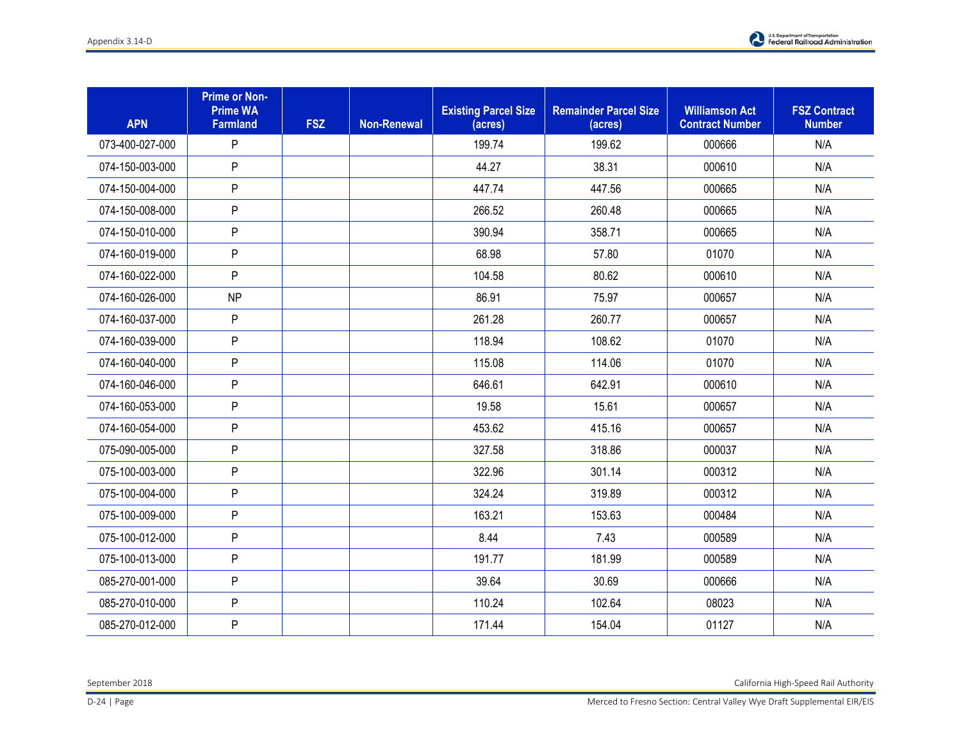| <b>APN</b>      | <b>Prime or Non-</b><br><b>Prime WA</b><br><b>Farmland</b> | <b>FSZ</b> | <b>Non-Renewal</b> | <b>Existing Parcel Size</b><br>(acres) | <b>Remainder Parcel Size</b><br>(acres) | <b>Williamson Act</b><br><b>Contract Number</b> | <b>FSZ Contract</b><br><b>Number</b> |
|-----------------|------------------------------------------------------------|------------|--------------------|----------------------------------------|-----------------------------------------|-------------------------------------------------|--------------------------------------|
| 073-400-027-000 | P                                                          |            |                    | 199.74                                 | 199.62                                  | 000666                                          | N/A                                  |
| 074-150-003-000 | P                                                          |            |                    | 44.27                                  | 38.31                                   | 000610                                          | N/A                                  |
| 074-150-004-000 | P                                                          |            |                    | 447.74                                 | 447.56                                  | 000665                                          | N/A                                  |
| 074-150-008-000 | P                                                          |            |                    | 266.52                                 | 260.48                                  | 000665                                          | N/A                                  |
| 074-150-010-000 | P                                                          |            |                    | 390.94                                 | 358.71                                  | 000665                                          | N/A                                  |
| 074-160-019-000 | P                                                          |            |                    | 68.98                                  | 57.80                                   | 01070                                           | N/A                                  |
| 074-160-022-000 | P                                                          |            |                    | 104.58                                 | 80.62                                   | 000610                                          | N/A                                  |
| 074-160-026-000 | <b>NP</b>                                                  |            |                    | 86.91                                  | 75.97                                   | 000657                                          | N/A                                  |
| 074-160-037-000 | P                                                          |            |                    | 261.28                                 | 260.77                                  | 000657                                          | N/A                                  |
| 074-160-039-000 | P                                                          |            |                    | 118.94                                 | 108.62                                  | 01070                                           | N/A                                  |
| 074-160-040-000 | P                                                          |            |                    | 115.08                                 | 114.06                                  | 01070                                           | N/A                                  |
| 074-160-046-000 | P                                                          |            |                    | 646.61                                 | 642.91                                  | 000610                                          | N/A                                  |
| 074-160-053-000 | P                                                          |            |                    | 19.58                                  | 15.61                                   | 000657                                          | N/A                                  |
| 074-160-054-000 | P                                                          |            |                    | 453.62                                 | 415.16                                  | 000657                                          | N/A                                  |
| 075-090-005-000 | P                                                          |            |                    | 327.58                                 | 318.86                                  | 000037                                          | N/A                                  |
| 075-100-003-000 | P                                                          |            |                    | 322.96                                 | 301.14                                  | 000312                                          | N/A                                  |
| 075-100-004-000 | P                                                          |            |                    | 324.24                                 | 319.89                                  | 000312                                          | N/A                                  |
| 075-100-009-000 | P                                                          |            |                    | 163.21                                 | 153.63                                  | 000484                                          | N/A                                  |
| 075-100-012-000 | P                                                          |            |                    | 8.44                                   | 7.43                                    | 000589                                          | N/A                                  |
| 075-100-013-000 | P                                                          |            |                    | 191.77                                 | 181.99                                  | 000589                                          | N/A                                  |
| 085-270-001-000 | P                                                          |            |                    | 39.64                                  | 30.69                                   | 000666                                          | N/A                                  |
| 085-270-010-000 | P                                                          |            |                    | 110.24                                 | 102.64                                  | 08023                                           | N/A                                  |
| 085-270-012-000 | P                                                          |            |                    | 171.44                                 | 154.04                                  | 01127                                           | N/A                                  |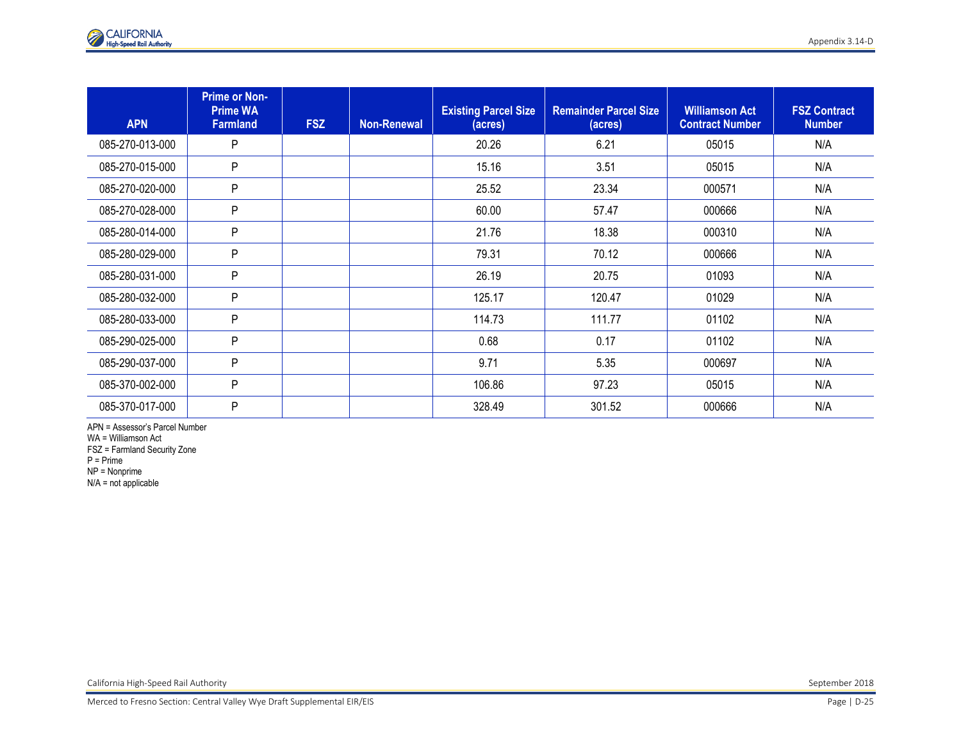| <b>APN</b>      | <b>Prime or Non-</b><br><b>Prime WA</b><br><b>Farmland</b> | <b>FSZ</b> | <b>Non-Renewal</b> | <b>Existing Parcel Size</b><br>(acres) | <b>Remainder Parcel Size</b><br>(acres) | <b>Williamson Act</b><br><b>Contract Number</b> | <b>FSZ Contract</b><br><b>Number</b> |
|-----------------|------------------------------------------------------------|------------|--------------------|----------------------------------------|-----------------------------------------|-------------------------------------------------|--------------------------------------|
| 085-270-013-000 | Ρ                                                          |            |                    | 20.26                                  | 6.21                                    | 05015                                           | N/A                                  |
| 085-270-015-000 | P                                                          |            |                    | 15.16                                  | 3.51                                    | 05015                                           | N/A                                  |
| 085-270-020-000 | P                                                          |            |                    | 25.52                                  | 23.34                                   | 000571                                          | N/A                                  |
| 085-270-028-000 | P                                                          |            |                    | 60.00                                  | 57.47                                   | 000666                                          | N/A                                  |
| 085-280-014-000 | P                                                          |            |                    | 21.76                                  | 18.38                                   | 000310                                          | N/A                                  |
| 085-280-029-000 | P                                                          |            |                    | 79.31                                  | 70.12                                   | 000666                                          | N/A                                  |
| 085-280-031-000 | P                                                          |            |                    | 26.19                                  | 20.75                                   | 01093                                           | N/A                                  |
| 085-280-032-000 | P                                                          |            |                    | 125.17                                 | 120.47                                  | 01029                                           | N/A                                  |
| 085-280-033-000 | P                                                          |            |                    | 114.73                                 | 111.77                                  | 01102                                           | N/A                                  |
| 085-290-025-000 | P                                                          |            |                    | 0.68                                   | 0.17                                    | 01102                                           | N/A                                  |
| 085-290-037-000 | P                                                          |            |                    | 9.71                                   | 5.35                                    | 000697                                          | N/A                                  |
| 085-370-002-000 | P                                                          |            |                    | 106.86                                 | 97.23                                   | 05015                                           | N/A                                  |
| 085-370-017-000 | P                                                          |            |                    | 328.49                                 | 301.52                                  | 000666                                          | N/A                                  |

APN = Assessor's Parcel Number

WA = Williamson Act

FSZ = Farmland Security Zone

 $P = Prime$ 

NP = Nonprime

N/A = not applicable